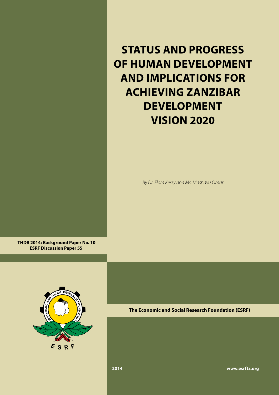**STATUS AND PROGRESS OF HUMAN DEVELOPMENT AND IMPLICATIONS FOR ACHIEVING ZANZIBAR DEVELOPMENT VISION 2020**

*By Dr. Flora Kessy and Ms. Mashavu Omar*

 **THDR 2014: Background Paper No. 10 ESRF Discussion Paper 55**



**The Economic and Social Research Foundation (ESRF)**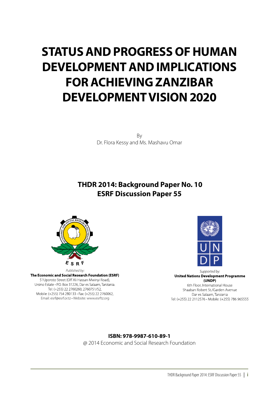### **STATUS AND PROGRESS OF HUMAN DEVELOPMENT AND IMPLICATIONS FOR ACHIEVING ZANZIBAR DEVELOPMENT VISION 2020**

By Dr. Flora Kessy and Ms. Mashavu Omar

### **THDR 2014: Background Paper No. 10 ESRF Discussion Paper 55**



Published by:<br>**The Economic and Social Research Foundation (ESRF)** 51 Uporoto Street (Off Ali Hassan Mwinyi Road), Ursino Estate · P.O. Box 31226, Dar es Salaam, Tanzania. Tel: (+255) 22 2760260, 2760751/52, Mobile: (+255) 754 280133 · Fax: (+255) 22 2760062, Email: esrf@esrf.or.tz • Website: www.esrftz.org



Supported by: **United Nations Development Programme**  $(UNDP)$ 6th Floor, International House

Shaaban Robert St./Garden Avenue Dar es Salaam, Tanzania Tel: (+255) 22 2112576 · Mobile: (+255) 786 965555

#### **ISBN: 978-9987-610-89-1**

@ 2014 Economic and Social Research Foundation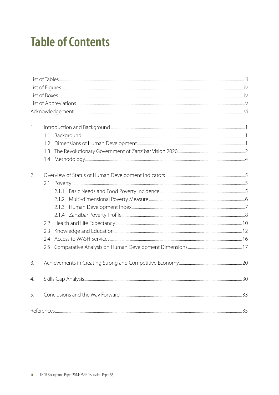# **Table of Contents**

| 1. | 1.1<br>1.2<br>1.3<br>1.4                 |  |
|----|------------------------------------------|--|
| 2. | 2.1<br>2.1.3<br>2.2<br>2.3<br>2.4<br>2.5 |  |
| 3. |                                          |  |
| 4. |                                          |  |
| 5. |                                          |  |
|    |                                          |  |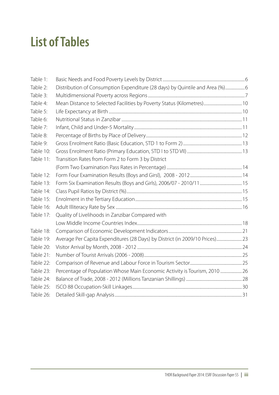## **List of Tables**

| Table 1:  |                                                                              |  |
|-----------|------------------------------------------------------------------------------|--|
| Table 2:  | Distribution of Consumption Expenditure (28 days) by Quintile and Area (%) 6 |  |
| Table 3:  |                                                                              |  |
| Table 4:  |                                                                              |  |
| Table 5:  |                                                                              |  |
| Table 6:  |                                                                              |  |
| Table 7:  |                                                                              |  |
| Table 8:  |                                                                              |  |
| Table 9:  |                                                                              |  |
| Table 10: |                                                                              |  |
| Table 11: | Transition Rates from Form 2 to Form 3 by District                           |  |
|           |                                                                              |  |
| Table 12: |                                                                              |  |
| Table 13: |                                                                              |  |
| Table 14: |                                                                              |  |
| Table 15: |                                                                              |  |
| Table 16: |                                                                              |  |
| Table 17: | Quality of Livelihoods in Zanzibar Compared with                             |  |
|           |                                                                              |  |
| Table 18: |                                                                              |  |
| Table 19: | Average Per Capita Expenditures (28 Days) by District (in 2009/10 Prices) 23 |  |
| Table 20: |                                                                              |  |
| Table 21: |                                                                              |  |
| Table 22: |                                                                              |  |
| Table 23: | Percentage of Population Whose Main Economic Activity is Tourism, 2010  26   |  |
| Table 24: |                                                                              |  |
| Table 25: |                                                                              |  |
| Table 26: |                                                                              |  |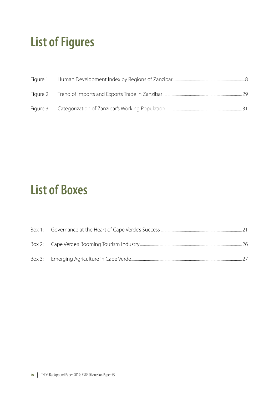# **List of Figures**

### **List of Boxes**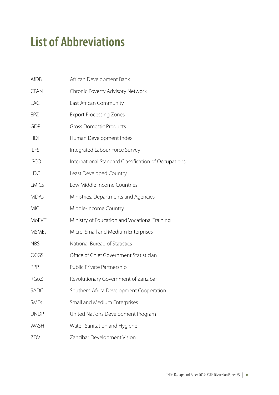# **List of Abbreviations**

| <b>AfDB</b>  | African Development Bank                             |
|--------------|------------------------------------------------------|
| <b>CPAN</b>  | Chronic Poverty Advisory Network                     |
| EAC          | East African Community                               |
| EPZ          | <b>Export Processing Zones</b>                       |
| GDP          | <b>Gross Domestic Products</b>                       |
| <b>HDI</b>   | Human Development Index                              |
| <b>ILFS</b>  | Integrated Labour Force Survey                       |
| <b>ISCO</b>  | International Standard Classification of Occupations |
| <b>LDC</b>   | Least Developed Country                              |
| <b>LMICs</b> | Low Middle Income Countries                          |
| <b>MDAs</b>  | Ministries, Departments and Agencies                 |
| <b>MIC</b>   | Middle-Income Country                                |
| MoEVT        | Ministry of Education and Vocational Training        |
| <b>MSMEs</b> | Micro, Small and Medium Enterprises                  |
| <b>NBS</b>   | National Bureau of Statistics                        |
| <b>OCGS</b>  | Office of Chief Government Statistician              |
| PPP          | Public Private Partnership                           |
| RGoZ         | Revolutionary Government of Zanzibar                 |
| SADC         | Southern Africa Development Cooperation              |
| <b>SMEs</b>  | Small and Medium Enterprises                         |
| <b>UNDP</b>  | United Nations Development Program                   |
| <b>WASH</b>  | Water, Sanitation and Hygiene                        |
| ZDV          | Zanzibar Development Vision                          |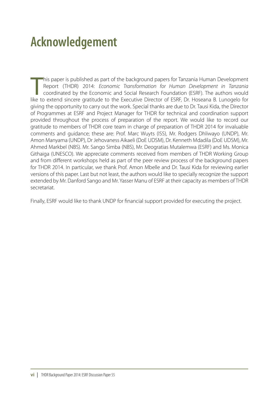## **Acknowledgement**

his paper is published as part of the background papers for Tanzania Human Development<br>Report (THDR) 2014: *Economic Transformation for Human Development in Tanzania*<br>coordinated by the Economic and Social Research Foundat his paper is published as part of the background papers for Tanzania Human Development Report (THDR) 2014: *Economic Transformation for Human Development in Tanzania*  coordinated by the Economic and Social Research Foundation (ESRF). The authors would giving the opportunity to carry out the work. Special thanks are due to Dr. Tausi Kida, the Director of Programmes at ESRF and Project Manager for THDR for technical and coordination support provided throughout the process of preparation of the report. We would like to record our gratitude to members of THDR core team in charge of preparation of THDR 2014 for invaluable comments and guidance; these are: Prof. Marc Wuyts (ISS), Mr. Rodgers Dhliwayo (UNDP), Mr. Amon Manyama (UNDP), Dr Jehovaness Aikaeli (DoE UDSM), Dr. Kenneth Mdadila (DoE UDSM), Mr. Ahmed Markbel (NBS). Mr. Sango Simba (NBS), Mr. Deogratias Mutalemwa (ESRF) and Ms. Monica Githaiga (UNESCO). We appreciate comments received from members of THDR Working Group and from different workshops held as part of the peer review process of the background papers for THDR 2014. In particular, we thank Prof. Amon Mbelle and Dr. Tausi Kida for reviewing earlier versions of this paper. Last but not least, the authors would like to specially recognize the support extended by Mr. Danford Sango and Mr. Yasser Manu of ESRF at their capacity as members of THDR secretariat.

Finally, ESRF would like to thank UNDP for financial support provided for executing the project.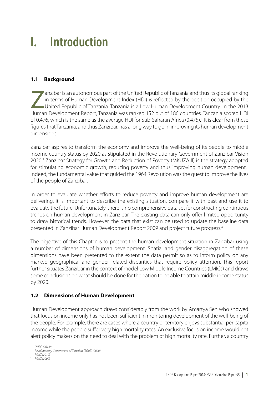## **I. Introduction**

#### **1.1 Background**

anzibar is an autonomous part of the United Republic of Tanzania and thus its global ranking<br>in terms of Human Development Index (HDI) is reflected by the position occupied by the<br>United Republic of Tanzania. Tanzania is a in terms of Human Development Index (HDI) is reflected by the position occupied by the United Republic of Tanzania. Tanzania is a Low Human Development Country. In the 2013 Human Development Report, Tanzania was ranked 152 out of 186 countries. Tanzania scored HDI of 0.476, which is the same as the average HDI for Sub-Saharan Africa (0.475).<sup>1</sup> It is clear from these figures that Tanzania, and thus Zanzibar, has a long way to go in improving its human development dimensions.

Zanzibar aspires to transform the economy and improve the well-being of its people to middle income country status by 2020 as stipulated in the Revolutionary Government of Zanzibar Vision 2020.<sup>2</sup> Zanzibar Strategy for Growth and Reduction of Poverty (MKUZA II) is the strategy adopted for stimulating economic growth, reducing poverty and thus improving human development.<sup>3</sup> Indeed, the fundamental value that guided the 1964 Revolution was the quest to improve the lives of the people of Zanzibar.

In order to evaluate whether efforts to reduce poverty and improve human development are delivering, it is important to describe the existing situation, compare it with past and use it to evaluate the future. Unfortunately, there is no comprehensive data set for constructing continuous trends on human development in Zanzibar. The existing data can only offer limited opportunity to draw historical trends. However, the data that exist can be used to update the baseline data presented in Zanzibar Human Development Report 2009 and project future progress.<sup>4</sup>

The objective of this Chapter is to present the human development situation in Zanzibar using a number of dimensions of human development. Spatial and gender disaggregation of these dimensions have been presented to the extent the data permit so as to inform policy on any marked geographical and gender related disparities that require policy attention. This report further situates Zanzibar in the context of model Low Middle Income Countries (LMICs) and draws some conclusions on what should be done for the nation to be able to attain middle income status by 2020.

#### **1.2 Dimensions of Human Development**

Human Development approach draws considerably from the work by Amartya Sen who showed that focus on income only has not been sufficient in monitoring development of the well-being of the people. For example, there are cases where a country or territory enjoys substantial per capita income while the people suffer very high mortality rates. An exclusive focus on income would not alert policy makers on the need to deal with the problem of high mortality rate. Further, a country

*<sup>1</sup> UNDP (2013a)*

*<sup>2</sup> Revolutionary Government of Zanzibar [RGoZ] (2000) 3 RGoZ (2010)*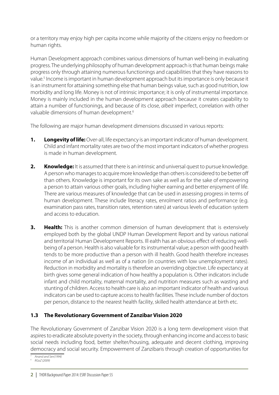or a territory may enjoy high per capita income while majority of the citizens enjoy no freedom or human rights.

Human Development approach combines various dimensions of human well-being in evaluating progress. The underlying philosophy of human development approach is that human beings make progress only through attaining numerous functionings and capabilities that they have reasons to value.<sup>5</sup> Income is important in human development approach but its importance is only because it is an instrument for attaining something else that human beings value, such as good nutrition, low morbidity and long life. Money is not of intrinsic importance; it is only of instrumental importance. Money is mainly included in the human development approach because it creates capability to attain a number of functionings, and because of its close, *albeit* imperfect, correlation with other valuable dimensions of human development.<sup>6</sup>

The following are major human development dimensions discussed in various reports:

- **1. Longevity of life:** Over-all, life expectancy is an important indicator of human development. Child and infant mortality rates are two of the most important indicators of whether progress is made in human development.
- **2.** Knowledge: It is assumed that there is an intrinsic and universal quest to pursue knowledge. A person who manages to acquire more knowledge than others is considered to be better off than others. Knowledge is important for its own sake as well as for the sake of empowering a person to attain various other goals, including higher earning and better enjoyment of life. There are various measures of knowledge that can be used in assessing progress in terms of human development. These include literacy rates, enrolment ratios and performance (e.g. examination pass rates, transition rates, retention rates) at various levels of education system and access to education.
- **3.** Health: This is another common dimension of human development that is extensively employed both by the global UNDP Human Development Report and by various national and territorial Human Development Reports. Ill ealth has an obvious effect of reducing wellbeing of a person. Health is also valuable for its instrumental value; a person with good health tends to be more productive than a person with ill health. Good health therefore increases income of an individual as well as of a nation (in countries with low unemployment rates). Reduction in morbidity and mortality is therefore an overriding objective. Life expectancy at birth gives some general indication of how healthy a population is. Other indicators include infant and child mortality, maternal mortality, and nutrition measures such as wasting and stunting of children. Access to health care is also an important indicator of health and various indicators can be used to capture access to health facilities. These include number of doctors per person, distance to the nearest health facility, skilled health attendance at birth etc.

#### **1.3 The Revolutionary Government of Zanzibar Vision 2020**

The Revolutionary Government of Zanzibar Vision 2020 is a long term development vision that aspires to eradicate absolute poverty in the society, through enhancing income and access to basic social needs including food, better shelter/housing, adequate and decent clothing, improving democracy and social security. Empowerment of Zanzibaris through creation of opportunities for

*<sup>5</sup> Anand and Sen(1994)*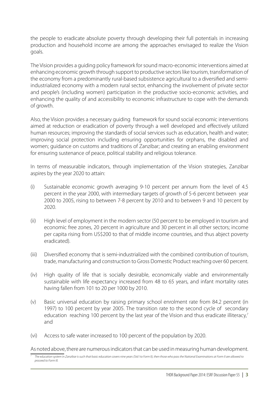the people to eradicate absolute poverty through developing their full potentials in increasing production and household income are among the approaches envisaged to realize the Vision goals.

The Vision provides a guiding policy framework for sound macro-economic interventions aimed at enhancing economic growth through support to productive sectors like tourism, transformation of the economy from a predominantly rural-based subsistence agricultural to a diversified and semiindustrialized economy with a modern rural sector, enhancing the involvement of private sector and people's (including women) participation in the productive socio-economic activities, and enhancing the quality of and accessibility to economic infrastructure to cope with the demands of growth.

Also, the Vision provides a necessary guiding framework for sound social economic interventions aimed at reduction or eradication of poverty through a well developed and effectively utilized human resources; improving the standards of social services such as education, health and water; improving social protection including ensuring opportunities for orphans, the disabled and women; guidance on customs and traditions of Zanzibar; and creating an enabling environment for ensuring sustenance of peace, political stability and religious tolerance.

In terms of measurable indicators, through implementation of the Vision strategies, Zanzibar aspires by the year 2020 to attain:

- (i) Sustainable economic growth averaging 9-10 percent per annum from the level of 4.5 percent in the year 2000, with intermediary targets of growth of 5-6 percent between year 2000 to 2005, rising to between 7-8 percent by 2010 and to between 9 and 10 percent by 2020.
- (ii) High level of employment in the modern sector (50 percent to be employed in tourism and economic free zones, 20 percent in agriculture and 30 percent in all other sectors; income per capita rising from US\$200 to that of middle income countries, and thus abject poverty eradicated).
- (iii) Diversified economy that is semi-industrialized with the combined contribution of tourism, trade, manufacturing and construction to Gross Domestic Product reaching over 60 percent.
- (iv) High quality of life that is socially desirable, economically viable and environmentally sustainable with life expectancy increased from 48 to 65 years, and infant mortality rates having fallen from 101 to 20 per 1000 by 2010.
- (v) Basic universal education by raising primary school enrolment rate from 84.2 percent (in 1997) to 100 percent by year 2005. The transition rate to the second cycle of secondary education reaching 100 percent by the last year of the Vision and thus eradicate illiteracy,<sup>7</sup> and
- (vi) Access to safe water increased to 100 percent of the population by 2020.

As noted above, there are numerous indicators that can be used in measuring human development.

*The education system in Zanzibar is such that basic education covers nine years (Std I to Form II), then those who pass the National Examinations at Form II are allowed to proceed to Form III.*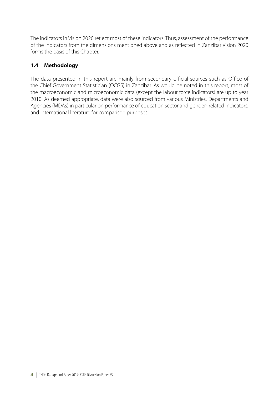The indicators in Vision 2020 reflect most of these indicators. Thus, assessment of the performance of the indicators from the dimensions mentioned above and as reflected in Zanzibar Vision 2020 forms the basis of this Chapter.

### **1.4 Methodology**

The data presented in this report are mainly from secondary official sources such as Office of the Chief Government Statistician (OCGS) in Zanzibar. As would be noted in this report, most of the macroeconomic and microeconomic data (except the labour force indicators) are up to year 2010. As deemed appropriate, data were also sourced from various Ministries, Departments and Agencies (MDAs) in particular on performance of education sector and gender- related indicators, and international literature for comparison purposes.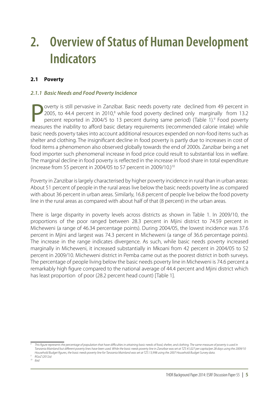## **2. Overview of Status of Human Development Indicators**

### **2.1 Poverty**

#### *2.1.1 Basic Needs and Food Poverty Incidence*

Poverty is still pervasive in Zanzibar. Basic needs poverty rate declined from 49 percent in 2005, to 44.4 percent in 2010,<sup>8</sup> while food poverty declined only marginally from 13.2 percent reported in 2004/5 to 13 percent 2005, to 44.4 percent in 2010, $^8$  while food poverty declined only marginally from 13.2 percent reported in 2004/5 to 13 percent during same period) (Table 1).<sup>9</sup> Food poverty measures the inability to afford basic dietary requirements (recommended calorie intake) while basic needs poverty takes into account additional resources expended on non-food items such as shelter and clothing. The insignificant decline in food poverty is partly due to increases in cost of food items a phenomenon also observed globally towards the end of 2000s. Zanzibar being a net food importer such phenomenal increase in food price could result to substantial loss in welfare. The marginal decline in food poverty is reflected in the increase in food share in total expenditure (increase from 55 percent in 2004/05 to 57 percent in 2009/10.)<sup>10</sup>

Poverty in Zanzibar is largely characterised by higher poverty incidence in rural than in urban areas: About 51 percent of people in the rural areas live below the basic needs poverty line as compared with about 36 percent in urban areas. Similarly, 16.8 percent of people live below the food poverty line in the rural areas as compared with about half of that (8 percent) in the urban areas.

There is large disparity in poverty levels across districts as shown in Table 1. In 2009/10, the proportions of the poor ranged between 28.3 percent in Mjini district to 74.59 percent in Micheweni (a range of 46.34 percentage points). During 2004/05, the lowest incidence was 37.6 percent in Mjini and largest was 74.3 percent in Micheweni (a range of 36.6 percentage points). The increase in the range indicates divergence. As such, while basic needs poverty increased marginally in Micheweni, it increased substantially in Mkoani from 42 percent in 2004/05 to 52 percent in 2009/10. Micheweni district in Pemba came out as the poorest district in both surveys. The percentage of people living below the basic needs poverty line in Micheweni is 74.6 percent a remarkably high figure compared to the national average of 44.4 percent and Mjini district which has least proportion of poor (28.2 percent head count) [Table 1].

*<sup>10</sup> Ibid*

*<sup>8</sup>* This figure represents the percentage of population that have difficulties in attaining basic needs of food, shelter, and clothing. The same measure of poverty is used in *Tanzania Mainland but different poverty lines have been used. While the basic needs poverty line in Zanzibar was set at TZS 41,027 per capita/per 28 days using the 2009/10 Household Budget figures, the basic needs poverty line for Tanzania Mainland was set at TZS 13,998 using the 2007 Household Budget Survey data. 9 RGoZ (2012a)*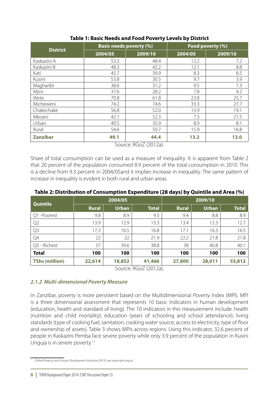|                 | <b>Basic needs poverty (%)</b> |      | Food poverty (%) |         |  |  |
|-----------------|--------------------------------|------|------------------|---------|--|--|
| <b>District</b> | 2004/05<br>2009/10             |      | 2004/05          | 2009/10 |  |  |
| Kaskazini A     | 53.3                           | 48.4 | 12.2             | 7.2     |  |  |
| Kaskazini B     | 48.3                           | 42.2 | 12.1             | 8.8     |  |  |
| Kati            | 45.7                           | 39.9 | 8.3              | 8.5     |  |  |
| Kusini          | 53.8                           | 30.5 | 9.7              | 3.9     |  |  |
| Magharibi       | 38.6                           | 31.2 | 9.5              | 7.3     |  |  |
| Mjini           | 37.6                           | 28.2 | 7.8              | 4.2     |  |  |
| Wete            | 70.8                           | 61.8 | 23.8             | 25.7    |  |  |
| Micheweni       | 74.2                           | 74.6 | 33.3             | 27.7    |  |  |
| Chakechake      | 56.8                           | 52.0 | 15.9             | 19.1    |  |  |
| Mkoani          | 42.1                           | 52.3 | 7.3              | 21.5    |  |  |
| Urban           | 40.5                           | 35.9 | 8.9              | 8.1     |  |  |
| Rural           | 54.6                           | 50.7 | 15.9             | 16.8    |  |  |
| <b>Zanzibar</b> | 49.1                           | 44.4 | 13.2             | 13.0    |  |  |

#### **Table 1: Basic Needs and Food Poverty Levels by District**

Source: RGoZ (2012a).

Share of total consumption can be used as a measure of inequality. It is apparent from Table 2 that 20 percent of the population consumed 8.9 percent of the total consumption in 2010. This is a decline from 9.3 percent in 2004/05and it implies increase in inequality. The same pattern of increase in inequality is evident in both rural and urban areas.

| Quintile              |              | 2004/05      |              | 2009/10      |              |              |  |
|-----------------------|--------------|--------------|--------------|--------------|--------------|--------------|--|
|                       | <b>Rural</b> | <b>Urban</b> | <b>Total</b> | <b>Rural</b> | <b>Urban</b> | <b>Total</b> |  |
| Q1-Poorest            | 9.8          | 8.9          | 9.3          | 9.4          | 8.8          | 8.9          |  |
| Q <sub>2</sub>        | 13.9         | 12.9         | 13.3         | 13.4         | 12.3         | 12.7         |  |
| Q <sub>3</sub>        | 17.3         | 16.5         | 16.8         | 17.1         | 16.3         | 16.5         |  |
| Q4                    | 22           | 22           | 21.9         | 22.2         | 21.8         | 21.8         |  |
| Q5 - Richest          | 37           | 39.6         | 38.8         | 38           | 40.8         | 40.1         |  |
| <b>Total</b>          | 100          | 100          | 100          | 100          | 100          | 100          |  |
| <b>TShs (million)</b> | 22,614       | 18,852       | 41,466       | 27,800       | 28,011       | 55,812       |  |

**Table 2: Distribution of Consumption Expenditure (28 days) by Quintile and Area (%)**

Source: RGoZ (2012a).

#### *2.1.2 Multi-dimensional Poverty Measure*

In Zanzibar, poverty is more persistent based on the Multidimensional Poverty Index (MPI). MPI is a three dimensional assessment that represents 10 basic indicators in human development (education, health and standard of living). The 10 indicators in this measurement include: health (nutrition and child mortality); education (years of schooling and school attendance); living standards (type of cooking fuel, sanitation, cooking water source, access to electricity, type of floor and ownership of assets). Table 3 shows MPIs across regions. Using this indicator, 32.6 percent of people in Kaskazini Pemba face severe poverty while only 3.9 percent of the population in Kusini Unguja is in severe poverty.<sup>11</sup>

*<sup>11</sup> Oxford Poverty and Human Development Initiative (2013); see www.ophi.org.uk*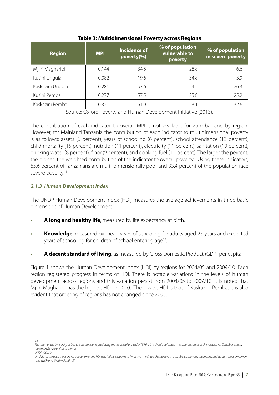| <b>Region</b>    | <b>MPI</b> | Incidence of<br>poverty(%) | % of population<br>vulnerable to<br>poverty | % of population<br>in severe poverty |  |
|------------------|------------|----------------------------|---------------------------------------------|--------------------------------------|--|
| Mjini Magharibi  | 0.144      | 34.5                       | 28.8                                        | 6.6                                  |  |
| Kusini Unguja    | 0.082      | 19.6                       | 34.8                                        | 3.9                                  |  |
| Kaskazini Unguja | 0.281      | 57.6                       | 24.2                                        | 26.3                                 |  |
| Kusini Pemba     | 0.277      | 57.5                       | 25.8                                        | 25.2                                 |  |
| Kaskazini Pemba  | 0.321      | 61.9                       | 23.1                                        | 32.6                                 |  |

#### **Table 3: Multidimensional Poverty across Regions**

Source: Oxford Poverty and Human Development Initiative (2013).

The contribution of each indicator to overall MPI is not available for Zanzibar and by region. However, for Mainland Tanzania the contribution of each indicator to multidimensional poverty is as follows: assets (6 percent), years of schooling (6 percent), school attendance (13 percent), child mortality (15 percent), nutrition (11 percent), electricity (11 percent), sanitation (10 percent), drinking water (8 percent), floor (9 percent), and cooking fuel (11 percent). The larger the percent, the higher the weighted contribution of the indicator to overall poverty.<sup>12</sup>Using these indicators, 65.6 percent of Tanzanians are multi-dimensionally poor and 33.4 percent of the population face severe poverty.<sup>13</sup>

#### *2.1.3 Human Development Index*

The UNDP Human Development Index (HDI) measures the average achievements in three basic dimensions of Human Development<sup>14</sup>:

- A long and healthy life, measured by life expectancy at birth.
- **Knowledge**, measured by mean years of schooling for adults aged 25 years and expected years of schooling for children of school entering age<sup>15</sup>.
- · **A decent standard of living**, as measured by Gross Domestic Product (GDP) per capita.

Figure 1 shows the Human Development Index (HDI) by regions for 2004/05 and 2009/10. Each region registered progress in terms of HDI. There is notable variations in the levels of human development across regions and this variation persist from 2004/05 to 2009/10. It is noted that Mjini Magharibi has the highest HDI in 2010. The lowest HDI is that of Kaskazini Pemba. It is also evident that ordering of regions has not changed since 2005.

 $\overline{12}$  *Ihid* 

<sup>&</sup>lt;sup>13</sup> The team at the University of Dar es Salaam that is producing the statistical annex for TDHR 2014 should calculate the contribution of each indicator for Zanzibar and by *regions in Zanzibar if data permit. 14 UNDP (2013b)*

<sup>&</sup>lt;sup>15</sup> Until 2010, the used measure for education in the HDI was "adult literacy rate (with two-thirds weighting) and the combined primary, secondary, and tertiary gross enrolment *ratio (with one-third weighting)."*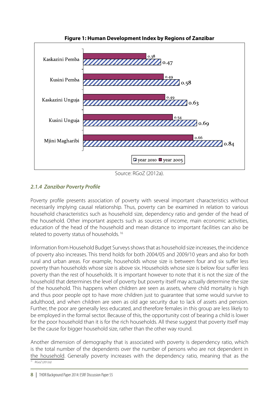

**Figure 1: Human Development Index by Regions of Zanzibar**

Source: RGoZ (2012a).

#### *2.1.4 Zanzibar Poverty Profile*

Poverty profile presents association of poverty with several important characteristics without necessarily implying causal relationship. Thus, poverty can be examined in relation to various household characteristics such as household size, dependency ratio and gender of the head of the household. Other important aspects such as sources of income, main economic activities, education of the head of the household and mean distance to important facilities can also be related to poverty status of households. 16

Information from Household Budget Surveys shows that as household size increases, the incidence of poverty also increases. This trend holds for both 2004/05 and 2009/10 years and also for both rural and urban areas. For example, households whose size is between four and six suffer less poverty than households whose size is above six. Households whose size is below four suffer less poverty than the rest of households. It is important however to note that it is not the size of the household that determines the level of poverty but poverty itself may actually determine the size of the household. This happens when children are seen as assets, where child mortality is high and thus poor people opt to have more children just to guarantee that some would survive to adulthood, and when children are seen as old age security due to lack of assets and pension. Further, the poor are generally less educated, and therefore females in this group are less likely to be employed in the formal sector. Because of this, the opportunity cost of bearing a child is lower for the poor household than it is for the rich households. All these suggest that poverty itself may be the cause for bigger household size, rather than the other way round.

Another dimension of demography that is associated with poverty is dependency ratio, which is the total number of the dependents over the number of persons who are not dependent in the household. Generally poverty increases with the dependency ratio, meaning that as the *<sup>16</sup> RGoZ (2012a)*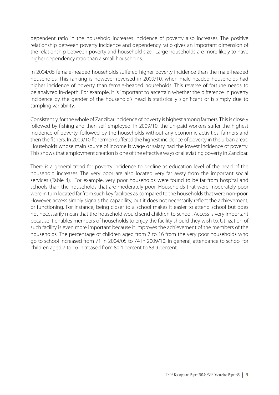dependent ratio in the household increases incidence of poverty also increases. The positive relationship between poverty incidence and dependency ratio gives an important dimension of the relationship between poverty and household size. Large households are more likely to have higher dependency ratio than a small households.

In 2004/05 female-headed households suffered higher poverty incidence than the male-headed households. This ranking is however reversed in 2009/10, when male-headed households had higher incidence of poverty than female-headed households. This reverse of fortune needs to be analyzed in-depth. For example, it is important to ascertain whether the difference in poverty incidence by the gender of the household's head is statistically significant or is simply due to sampling variability.

Consistently, for the whole of Zanzibar incidence of poverty is highest among farmers. This is closely followed by fishing and then self employed. In 2009/10, the un-paid workers suffer the highest incidence of poverty, followed by the households without any economic activities, farmers and then the fishers. In 2009/10 fishermen suffered the highest incidence of poverty in the urban areas. Households whose main source of income is wage or salary had the lowest incidence of poverty. This shows that employment creation is one of the effective ways of alleviating poverty in Zanzibar.

There is a general trend for poverty incidence to decline as education level of the head of the household increases. The very poor are also located very far away from the important social services (Table 4). For example, very poor households were found to be far from hospital and schools than the households that are moderately poor. Households that were moderately poor were in turn located far from such key facilities as compared to the households that were non-poor. However, access simply signals the capability, but it does not necessarily reflect the achievement, or functioning. For instance, being closer to a school makes it easier to attend school but does not necessarily mean that the household would send children to school. Access is very important because it enables members of households to enjoy the facility should they wish to. Utilization of such facility is even more important because it improves the achievement of the members of the households. The percentage of children aged from 7 to 16 from the very poor households who go to school increased from 71 in 2004/05 to 74 in 2009/10. In general, attendance to school for children aged 7 to 16 increased from 80.4 percent to 83.9 percent.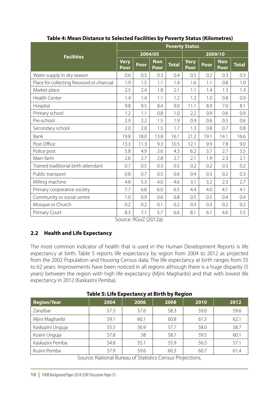| <b>Facilities</b>                         |                     | <b>Poverty Status</b> |                    |              |                     |         |                    |              |  |  |
|-------------------------------------------|---------------------|-----------------------|--------------------|--------------|---------------------|---------|--------------------|--------------|--|--|
|                                           |                     | 2004/05               |                    |              |                     | 2009/10 |                    |              |  |  |
|                                           | <b>Very</b><br>Poor | Poor                  | <b>Non</b><br>Poor | <b>Total</b> | <b>Very</b><br>Poor | Poor    | <b>Non</b><br>Poor | <b>Total</b> |  |  |
| Water supply in dry season                | 0.6                 | 0.5                   | 0.3                | 0.4          | 0.5                 | 0.2     | 0.3                | 0.3          |  |  |
| Place for collecting firewood or charcoal | 1.9                 | 1.5                   | 1.1                | 1.4          | 1.6                 | 1.1     | 0.8                | 1.0          |  |  |
| Market place                              | 2.5                 | 2.4                   | 1.8                | 2.1          | 1.1                 | 1.4     | 1.3                | 1.3          |  |  |
| Health Center                             | 1.4                 | 1.4                   | 1.1                | 1.2          | 1.2                 | 1.0     | 0.8                | 0.9          |  |  |
| Hospital                                  | 9.8                 | 9.5                   | 8.4                | 9.0          | 11.1                | 8.9     | 7.0                | 8.1          |  |  |
| Primary school                            | 1.2                 | 1.1                   | 0.8                | 1.0          | 2.2                 | 0.9     | 0.6                | 0.9          |  |  |
| Pre-school                                | 2.9                 | 2.2                   | 1.5                | 1.9          | 0.9                 | 0.6     | 0.5                | 0.6          |  |  |
| Secondary school                          | 2.0                 | 2.0                   | 1.5                | 1.7          | 1.3                 | 0.8     | 0.7                | 0.8          |  |  |
| Bank                                      | 19.8                | 18.0                  | 13.8               | 16.1         | 21.2                | 19.1    | 14.1               | 16.6         |  |  |
| Post Office                               | 13.3                | 11.3                  | 9.3                | 10.5         | 12.1                | 9.9     | 7.8                | 9.0          |  |  |
| Police post                               | 5.8                 | 4.9                   | 3.6                | 4.3          | 6.2                 | 3.7     | 2.7                | 3.5          |  |  |
| Main farm                                 | 2.6                 | 2.7                   | 2.8                | 2.7          | 2.1                 | 1.9     | 2.3                | 2.1          |  |  |
| Trained traditional birth attendant       | 0.7                 | 0.5                   | 0.3                | 0.5          | 0.2                 | 0.2     | 0.3                | 0.2          |  |  |
| Public transport                          | 0.8                 | 0.7                   | 0.5                | 0.6          | 0.4                 | 0.3     | 0.2                | 0.3          |  |  |
| Milling machine                           | 4.8                 | 5.3                   | 4.0                | 4.6          | 3.1                 | 3.2     | 2.3                | 2.7          |  |  |
| Primary cooperative society               | 7.7                 | 6.8                   | 6.0                | 6.5          | 4.4                 | 4.0     | 4.1                | 4.1          |  |  |
| Community or social centre                | 1.0                 | 0.9                   | 0.6                | 0.8          | 0.5                 | 0.5     | 0.4                | 0.4          |  |  |
| Mosque or Church                          | 0.2                 | 0.2                   | 0.1                | 0.2          | 0.3                 | 0.3     | 0.2                | 0.2          |  |  |
| Primary Court                             | 8.3                 | 7.1                   | 5.7                | 6.6          | 8.1                 | 6.1     | 4.6                | 5.5          |  |  |

#### **Table 4: Mean Distance to Selected Facilities by Poverty Status (Kilometres)**

Source: RGoZ (2012a).

#### **2.2 Health and Life Expectancy**

The most common indicator of health that is used in the Human Development Reports is life expectancy at birth. Table 5 reports life expectancy by region from 2004 to 2012 as projected from the 2002 Population and Housing Census data. The life expectancy at birth ranges from 55 to 62 years. Improvements have been noticed in all regions although there is a huge disparity (5 years) between the region with high life expectancy (Mjini Magharibi) and that with lowest life expectancy in 2012 (Kaskazini Pemba).

| ----<br>. <i>. .</i> |                                         |               |                         |           |      |  |  |  |  |  |  |
|----------------------|-----------------------------------------|---------------|-------------------------|-----------|------|--|--|--|--|--|--|
| <b>Region/Year</b>   | 2004                                    | 2006          | 2008                    | 2010      | 2012 |  |  |  |  |  |  |
| Zanzibar             | 57.3                                    | 57.6          | 58.3                    | 59.0      | 59.6 |  |  |  |  |  |  |
| Mjini Magharibi      | 59.1                                    | 60.1          | 60.8                    | 61.5      | 62.1 |  |  |  |  |  |  |
| Kaskazini Unguja     | 55.5                                    | 56.9          | 57.7                    | 58.0      | 58.7 |  |  |  |  |  |  |
| Kusini Unguja        | 57.8                                    | 58            | 58.7                    | 59.5      | 60.1 |  |  |  |  |  |  |
| Kaskazini Pemba      | 54.8                                    | 55.1          | 55.9                    | 56.5      | 57.1 |  |  |  |  |  |  |
| Kusini Pemba         | 57.9                                    | 59.6          | 60.3                    | 60.7      | 61.4 |  |  |  |  |  |  |
| $\sqrt{2}$           | $\sqrt{2}$<br>$\mathbf{A}$ $\mathbf{A}$ | $\sim$ $\sim$ | $\sim$ $\sim$<br>$\sim$ | $\cdot$ . |      |  |  |  |  |  |  |

#### **Table 5: Life Expectancy at Birth by Region**

Source: National Bureau of Statistics Census Projections.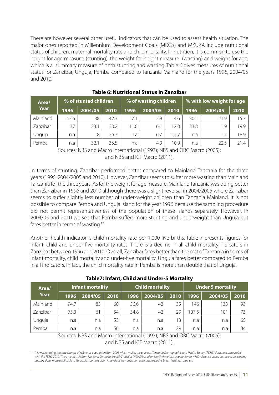There are however several other useful indicators that can be used to assess health situation. The major ones reported in Millennium Development Goals (MDGs) and MKUZA include nutritional status of children, maternal mortality rate and child mortality. In nutrition, it is common to use the height for age measure, (stunting), the weight for height measure (wasting) and weight for age, which is a summary measure of both stunting and wasting. Table 6 gives measures of nutritional status for Zanzibar, Unguja, Pemba compared to Tanzania Mainland for the years 1996, 2004/05 and 2010.

| Area/       | <b>O</b> of stunted children |         |      | % of wasting children |         |      | % with low weight for age |         |      |
|-------------|------------------------------|---------|------|-----------------------|---------|------|---------------------------|---------|------|
| <b>Year</b> | 1996                         | 2004/05 | 2010 | 1996                  | 2004/05 | 2010 | 1996                      | 2004/05 | 2010 |
| Mainland    | 43.6                         | 38      | 42.3 | 7.1                   | 2.9     | 4.6  | 30.5                      | 21.9    | 5.7  |
| Zanzibar    | 37                           | 23.1    | 30.2 | 11.0                  | 6.1     | 12.0 | 33.8                      | 19      | 19.9 |
| Unguja      | n.a                          | 18      | 26.7 | n.a                   | 6.7     | 12.7 | n.a                       |         | 18.9 |
| Pemba       | n.a                          | 32.1    | 35.5 | n.a                   | 4.9     | 10.9 | n.a                       | 22.5    | 21.4 |

#### **Table 6: Nutritional Status in Zanzibar**

Sources: NBS and Macro International (1997); NBS and ORC Macro (2005); and NBS and ICF Macro (2011).

In terms of stunting, Zanzibar performed better compared to Mainland Tanzania for the three years (1996, 2004/2005 and 2010). However, Zanzibar seems to suffer more wasting than Mainland Tanzania for the three years. As for the weight for age measure, Mainland Tanzania was doing better than Zanzibar in 1996 and 2010 although there was a slight reversal in 2004/2005 where Zanzibar seems to suffer slightly less number of under-weight children than Tanzania Mainland. It is not possible to compare Pemba and Unguja Island for the year 1996 because the sampling procedure did not permit representativeness of the population of these islands separately. However, in 2004/05 and 2010 we see that Pemba suffers more stunting and underweight than Unguja but fares better in terms of wasting.<sup>17</sup>

Another health indicator is child mortality rate per 1,000 live births. Table 7 presents figures for infant, child and under-five mortality rates. There is a decline in all child mortality indicators in Zanzibar between 1996 and 2010. Overall, Zanzibar fares better than the rest of Tanzania in terms of infant mortality, child mortality and under-five mortality. Unguja fares better compared to Pemba in all indicators. In fact, the child mortality rate in Pemba is more than double that of Unguja.

| Area/       | Infant mortality |         |      | <b>Child mortality</b> |         |      | <b>Under 5 mortality</b> |         |      |
|-------------|------------------|---------|------|------------------------|---------|------|--------------------------|---------|------|
| <b>Year</b> | 1996             | 2004/05 | 2010 | 1996                   | 2004/05 | 2010 | 1996                     | 2004/05 | 2010 |
| Mainland    | 94.7             | 83      | 60   | 56.6                   | 42      | 35   | 146                      | 133     | 93   |
| Zanzibar    | 75.3             | 61      | 54   | 34.8                   | 42      | 29   | 107.5                    | 101     | 73.  |
| Unguja      | n.a              | n.a     | 53   | n.a                    | n.a     | 3    | n.a                      | n.a     | 65   |
| Pemba       | n.a              | n.a     | 56   | n.a                    | n.a     | 29   | n.a                      | n.a     | 84   |

**Table7: Infant, Child and Under-5 Mortality**

Sources: NBS and Macro International (1997); NBS and ORC Macro (2005); and NBS and ICF Macro (2011).

*17 It is worth noting that the change of reference population from 2006 which makes the previous Tanzania Demographic and Health Survey (TDHS) data not comparable with the TDHS 2010. There was a shift from National Centre for Health Statistics (NCHS) based on North American population to WHO reference based on several developing country data, more applicable to Tanzanian context given its levels of immunization coverage, exclusive breastfeeding status, etc.*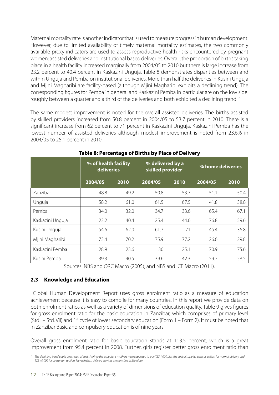Maternal mortality rate is another indicator that is used to measure progress in human development. However, due to limited availability of timely maternal mortality estimates, the two commonly available proxy indicators are used to assess reproductive health risks encountered by pregnant women: assisted deliveries and institutional based deliveries. Overall, the proportion of births taking place in a health facility increased marginally from 2004/05 to 2010 but there is large increase from 23.2 percent to 40.4 percent in Kaskazini Unguja. Table 8 demonstrates disparities between and within Unguja and Pemba on institutional deliveries. More than half the deliveries in Kusini Unguja and Mjini Magharibi are facility-based (although Mjini Magharibi exhibits a declining trend). The corresponding figures for Pemba in general and Kaskazini Pemba in particular are on the low side: roughly between a quarter and a third of the deliveries and both exhibited a declining trend.<sup>18</sup>

The same modest improvement is noted for the overall assisted deliveries. The births assisted by skilled providers increased from 50.8 percent in 2004/05 to 53.7 percent in 2010. There is a significant increase from 62 percent to 71 percent in Kaskazini Unguja. Kaskazini Pemba has the lowest number of assisted deliveries although modest improvement is noted from 23.6% in 2004/05 to 25.1 percent in 2010.

|                  | % of health facility<br>deliveries |      | % delivered by a<br>skilled provider <sup>1</sup> |      | % home deliveries |      |  |
|------------------|------------------------------------|------|---------------------------------------------------|------|-------------------|------|--|
|                  | 2004/05                            | 2010 | 2004/05                                           | 2010 | 2004/05           | 2010 |  |
| Zanzibar         | 48.8                               | 49.2 | 50.8                                              | 53.7 | 51.1              | 50.4 |  |
| Unguja           | 58.2                               | 61.0 | 61.5                                              | 67.5 | 41.8              | 38.8 |  |
| Pemba            | 34.0                               | 32.0 | 34.7                                              | 33.6 | 65.4              | 67.1 |  |
| Kaskazini Unguja | 23.2                               | 40.4 | 25.4                                              | 44.6 | 76.8              | 59.6 |  |
| Kusini Unguja    | 54.6                               | 62.0 | 61.7                                              | 71   | 45.4              | 36.8 |  |
| Mjini Magharibi  | 73.4                               | 70.2 | 75.9                                              | 77.2 | 26.6              | 29.8 |  |
| Kaskazini Pemba  | 28.9                               | 23.6 | 30                                                | 25.1 | 70.9              | 75.6 |  |
| Kusini Pemba     | 39.3<br>$\cdot$ $\cdot$ $\sim$     | 40.5 | 39.6                                              | 42.3 | 59.7              | 58.5 |  |

**Table 8: Percentage of Births by Place of Delivery**

Sources: NBS and ORC Macro (2005); and NBS and ICF Macro (2011).

#### **2.3 Knowledge and Education**

 Global Human Development Report uses gross enrolment ratio as a measure of education achievement because it is easy to compile for many countries. In this report we provide data on both enrolment ratios as well as a variety of dimensions of education quality. Table 9 gives figures for gross enrolment ratio for the basic education in Zanzibar, which comprises of primary level (Std.I – Std. VII) and 1<sup>st</sup> cycle of lower secondary education (Form  $1$  – Form 2). It must be noted that in Zanzibar Basic and compulsory education is of nine years.

Overall gross enrolment ratio for basic education stands at 113.5 percent, which is a great improvement from 95.4 percent in 2008. Further, girls register better gross enrolment ratio than

*<sup>18</sup> The declining trend could be a result of cost sharing; the expectant mothers were supposed to pay TZS 1,000 plus the cost of supplies such as cotton for normal delivery and TZS 40,000 for caesarean section. Nevertheless, delivery services are now free in Zanzibar.*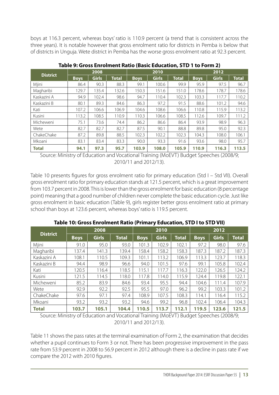boys at 116.3 percent, whereas boys' ratio is 110.9 percent (a trend that is consistent across the three years). It is notable however that gross enrolment ratio for districts in Pemba is below that of districts in Unguja. Wete district in Pemba has the worse gross enrolment ratio at 92.3 percent.

|                 |             | 2008         |              |             | 2010         |              | 2012        |              |              |  |
|-----------------|-------------|--------------|--------------|-------------|--------------|--------------|-------------|--------------|--------------|--|
| <b>District</b> | <b>Boys</b> | <b>Girls</b> | <b>Total</b> | <b>Boys</b> | <b>Girls</b> | <b>Total</b> | <b>Boys</b> | <b>Girls</b> | <b>Total</b> |  |
| Mjini           | 86.4        | 90.3         | 88.3         | 99.1        | 100.6        | 99.9         | 95.9        | 97.5         | 96.7         |  |
| Magharibi       | 129.7       | 135.4        | 132.6        | 150.3       | 151.6        | 151.0        | 178.6       | 178.7        | 178.6        |  |
| Kaskazini A     | 94.9        | 102.4        | 98.6         | 94.7        | 110.4        | 102.3        | 103.3       | 117.7        | 110.2        |  |
| Kaskazini B     | 80.1        | 89.3         | 84.6         | 86.3        | 97.2         | 91.5         | 88.6        | 101.2        | 94.6         |  |
| Kati            | 107.2       | 106.6        | 106.9        | 104.6       | 108.6        | 106.6        | 110.8       | 115.9        | 113.2        |  |
| Kusini          | 113.2       | 108.5        | 110.9        | 110.3       | 106.6        | 108.5        | 112.6       | 109.7        | 111.2        |  |
| Micheweni       | 75.1        | 73.6         | 74.4         | 86.2        | 86.6         | 86.4         | 93.9        | 98.9         | 96.3         |  |
| Wete            | 82.7        | 82.7         | 82.7         | 87.5        | 90.1         | 88.8         | 89.8        | 95.0         | 92.3         |  |
| ChakeChake      | 87.2        | 89.8         | 88.5         | 102.3       | 102.2        | 102.3        | 104.3       | 108.0        | 106.1        |  |
| Mkoani          | 83.1        | 83.4         | 83.3         | 90.0        | 93.3         | 91.6         | 93.6        | 98.0         | 95.7         |  |
| <b>Total</b>    | 94.1        | 97.3         | 95.7         | 103.9       | 108.0        | 105.9        | 110.9       | 116.3        | 113.5        |  |

#### **Table 9: Gross Enrolment Ratio (Basic Education, STD 1 to Form 2)**

Source: Ministry of Education and Vocational Training (MoEVT) Budget Speeches (2008/9; 2010/11 and 2012/13).

Table 10 presents figures for gross enrolment ratio for primary education (Std I – Std VII). Overall gross enrolment ratio for primary education stands at 121.5 percent, which is a great improvement from 103.7 percent in 2008. This is lower than the gross enrolment for basic education (8 percentage point) meaning that a good number of children never complete the basic education cycle. Just like gross enrolment in basic education (Table 9), girls register better gross enrolment ratio at primary school than boys at 123.6 percent, whereas boys' ratio is 119.5 percent.

|                 |             | 2008         |              |             | 2010         |              | 2012        |              |              |
|-----------------|-------------|--------------|--------------|-------------|--------------|--------------|-------------|--------------|--------------|
| <b>District</b> | <b>Boys</b> | <b>Girls</b> | <b>Total</b> | <b>Boys</b> | <b>Girls</b> | <b>Total</b> | <b>Boys</b> | <b>Girls</b> | <b>Total</b> |
| Mjini           | 91.0        | 95.0         | 93.0         | 101.3       | 102.9        | 102.1        | 97.2        | 98.0         | 97.6         |
| Magharibi       | 137.4       | 141.3        | 139.4        | 158.4       | 158.2        | 158.3        | 187.3       | 187.2        | 187.3        |
| Kaskazini A     | 108.1       | 110.5        | 109.3        | 101.1       | 113.2        | 106.9        | 113.3       | 123.7        | 118.3        |
| Kaskazini B     | 94.4        | 98.9         | 96.6         | 94.0        | 101.5        | 97.6         | 99.1        | 105.8        | 102.4        |
| Kati            | 120.5       | 116.4        | 118.5        | 115.1       | 117.7        | 116.3        | 122.0       | 126.5        | 124.2        |
| Kusini          | 121.5       | 114.5        | 118.0        | 117.8       | 114.0        | 115.9        | 124.4       | 119.8        | 122.1        |
| Micheweni       | 85.2        | 83.9         | 84.6         | 93.4        | 95.5         | 94.4         | 104.6       | 111.4        | 107.9        |
| Wete            | 92.9        | 92.2         | 92.5         | 95.5        | 97.0         | 96.2         | 99.2        | 103.3        | 101.2        |
| ChakeChake      | 97.6        | 97.1         | 97.4         | 108.9       | 107.5        | 108.3        | 114.1       | 116.4        | 115.2        |
| Mkoani          | 93.2        | 93.2         | 93.2         | 94.6        | 99.2         | 96.8         | 102.4       | 106.4        | 104.3        |
| <b>Total</b>    | 103.7       | 105.1        | 104.4        | 110.5       | 113.7        | 112.1        | 119.5       | 123.6        | 121.5        |

**Table 10: Gross Enrolment Ratio (Primary Education, STD I to STD VII)**

Source: Ministry of Education and Vocational Training (MoEVT) Budget Speeches (2008/9; 2010/11 and 2012/13).

Table 11 shows the pass rates at the terminal examination of Form 2, the examination that decides whether a pupil continues to Form 3 or not. There has been progressive improvement in the pass rate from 53.9 percent in 2008 to 56.9 percent in 2012 although there is a decline in pass rate if we compare the 2012 with 2010 figures.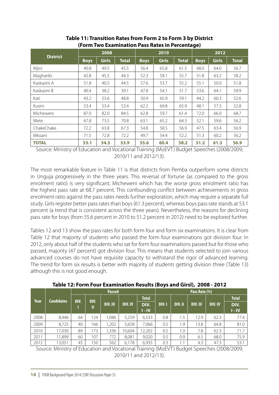|                 | 2008        |              |              | 2010        |              |              | 2012        |              |              |
|-----------------|-------------|--------------|--------------|-------------|--------------|--------------|-------------|--------------|--------------|
| <b>District</b> | <b>Boys</b> | <b>Girls</b> | <b>Total</b> | <b>Boys</b> | <b>Girls</b> | <b>Total</b> | <b>Boys</b> | <b>Girls</b> | <b>Total</b> |
| Mjini           | 40.8        | 49.5         | 45.5         | 56.4        | 65.8         | 61.5         | 48.0        | 64.0         | 56.7         |
| Magharibi       | 42.8        | 45.5         | 44.3         | 52.3        | 58.1         | 55.7         | 51.8        | 63.2         | 58.2         |
| Kaskazini A     | 51.8        | 40.5         | 44.5         | 57.6        | 53.7         | 55.2         | 55.1        | 50.0         | 51.8         |
| Kaskazini B     | 40.4        | 38.2         | 39.1         | 47.8        | 54.1         | 51.7         | 53.6        | 64.1         | 59.9         |
| Kati            | 43.2        | 53.6         | 48.8         | 50.9        | 65.9         | 59.1         | 44.2        | 60.3         | 52.6         |
| Kusini          | 53.4        | 53.4         | 53.4         | 62.2        | 69.8         | 65.9         | 48.1        | 57.3         | 52.8         |
| Micheweni       | 87.0        | 82.0         | 84.5         | 62.8        | 59.7         | 61.4         | 72.0        | 66.0         | 68.7         |
| Wete            | 67.8        | 73.5         | 70.8         | 63.1        | 65.2         | 64.3         | 52.1        | 59.6         | 56.2         |
| ChakeChake      | 72.2        | 63.8         | 67.3         | 54.8        | 58.5         | 56.9         | 47.5        | 63.4         | 56.9         |
| Mkoani          | 71.5        | 72.8         | 72.2         | 49.7        | 54.4         | 52.2         | 51.3        | 60.2         | 56.2         |
| <b>TOTAL</b>    | 53.1        | 54.5         | 53.9         | 55.6        | 60.4         | 58.2         | 51.2        | 61.3         | 56.9         |

**Table 11: Transition Rates from Form 2 to Form 3 by District (Form Two Examination Pass Rates in Percentage)**

Source: Ministry of Education and Vocational Training (MoEVT) Budget Speeches (2008/2009; 2010/11 and 2012/13).

The most remarkable feature in Table 11 is that districts from Pemba outperform some districts in Unguja progressively in the three years. This reversal of fortune (as compared to the gross enrolment ratio) is very significant; Micheweni which has the worse gross enrolment ratio has the highest pass rate at 68.7 percent. This confounding conflict between achievements in gross enrolment ratio against the pass rates needs further exploration, which may require a separate full study. Girls register better pass rates than boys (61.3 percent), whereas boys pass rate stands at 53.1 percent (a trend that is consistent across the three years). Nevertheless, the reasons for declining pass rate for boys (from 55.6 percent in 2010 to 51.2 percent in 2012) need to be explored further.

Tables 12 and 13 show the pass rates for both form four and form six examinations. It is clear from Table 12 that majority of students who passed the form four examinations got division four. In 2012, only about half of the students who sat for form four examinations passed but for those who passed, majority (47 percent) got division four. This means that students selected to join various advanced courses do not have requisite capacity to withstand the rigor of advanced learning. The trend for form six results is better with majority of students getting division three (Table 13) although this is not good enough.

|                                  |        | <b>Passed</b> |      |          |                |                  |              | Pass Rate (%) |                 |                |                  |  |  |
|----------------------------------|--------|---------------|------|----------|----------------|------------------|--------------|---------------|-----------------|----------------|------------------|--|--|
| <b>Candidates</b><br><b>Year</b> |        | DIV.          | DIV. |          |                | <b>Total</b>     |              |               |                 |                | <b>Total</b>     |  |  |
|                                  |        |               | 11.  | DIV. III | <b>DIV. IV</b> | DIV.<br>$I - IV$ | <b>DIV.1</b> | DIV. II       | <b>DIV. III</b> | <b>DIV. IV</b> | DIV.<br>$I - IV$ |  |  |
| 2008                             | 8,446  | 64            | 124  | 1,086    | 5,259          | 6,533            | 0.8          | 1.5           | 12.9            | 62.3           | 77.4             |  |  |
| 2009                             | 8,725  | 40            | 166  | 1,202    | 5,658          | 7,066            | 0.5          | 1.9           | 13.8            | 64.8           | 81.0             |  |  |
| 2010                             | 17,030 | 89            | 173  | ,336     | 10,604         | 12,202           | 0.5          | 1.0           | 7.8             | 62.3           | 71.7             |  |  |
| 2011                             | 11,899 | 60            | 107  | 772      | 8,081          | 9,020            | 0.5          | 0.9           | 6.5             | 68.0           | 75.9             |  |  |
| 2012                             | 13,051 | 45            | 150  | 562      | 6,178          | 6,935            | 0.3          | 1.1           | 4.3             | 47.3           | 53.1             |  |  |

**Table 12: Form Four Examination Results (Boys and Girsl), 2008 - 2012**

Source: Ministry of Education and Vocational Training (MoEVT) Budget Speeches (2008/2009; 2010/11 and 2012/13).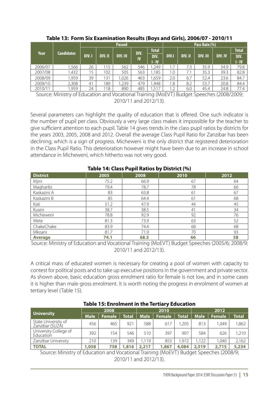|             |                   |              |         | <b>Passed</b>   |      |              | Pass Rate (%) |         |          |                |              |  |
|-------------|-------------------|--------------|---------|-----------------|------|--------------|---------------|---------|----------|----------------|--------------|--|
| <b>Year</b> | <b>Candidates</b> |              |         |                 | DIV. | <b>Total</b> |               |         |          |                | <b>Total</b> |  |
|             |                   | <b>DIV.1</b> | DIV. II | <b>DIV. III</b> | IV   | DIV.         | <b>DIV.I</b>  | DIV. II | DIV. III | <b>DIV. IV</b> | DIV.         |  |
|             |                   |              |         |                 |      | 1 - IV       |               |         |          |                | 1 - IV       |  |
| 2006/07     | 1,566             | 26           | 115     | 562             | 546  | .249         |               | 7.3     | 35.9     | 34.9           | 79.8         |  |
| 2007/08     | 1,432             | 15           | 102     | 505             | 563  | 1.185        | 1.0           | 7.1     | 35.3     | 39.3           | 82.8         |  |
| 2008/09     | 1,959             | 39           | 131     | 1,026           | 463  | ,659         | 2.0           | 6.7     | 52.4     | 23.6           | 84.7         |  |
| 2009/10     | 2,308             | 41           | 189     | 239             | 479  | .948         | 1.8           | 8.2     | 53.7     | 20.8           | 84.4         |  |
| 2010/11     | 1,959             | 24           | 118     | 890             | 485  | .517         |               | 6.0     | 45.4     | 24.8           | 77.4         |  |

#### **Table 13: Form Six Examination Results (Boys and Girls), 2006/07 - 2010/11**

Source: Ministry of Education and Vocational Training (MoEVT) Budget Speeches (2008/2009; 2010/11 and 2012/13).

Several parameters can highlight the quality of education that is offered. One such indicator is the number of pupil per class. Obviously a very large class makes it impossible for the teacher to give sufficient attention to each pupil. Table 14 gives trends in the class pupil ratios by districts for the years 2003, 2005, 2008 and 2012. Overall the average Class Pupil Ratio for Zanzibar has been declining, which is a sign of progress. Micheweni is the only district that registered deterioration in the Class Pupil Ratio. This deterioration however might have been due to an increase in school attendance in Micheweni, which hitherto was not very good.

|                 |      | Table 14: Class Pupil Ratios by District (%) |      |      |
|-----------------|------|----------------------------------------------|------|------|
| <b>District</b> | 2005 | 2008                                         | 2010 | 2012 |
| Mjini           | 75.2 | 66.9                                         | 67   | 64   |
| Magharibi       | 79.4 | 78.7                                         | 78   | 66   |
| Kaskazini A     | 83   | 65.8                                         | 61   | 67   |
| Kaskazini B     | 85   | 64.4                                         | 61   | 68   |
| Kati            | 51.2 | 47.9                                         | 44   | 45   |
| Kusini          | 38.7 | 38.5                                         | 41   | 34   |
| Micheweni       | 78.8 | 92.9                                         | 92   | 76   |
| Wete            | 81.3 | 73.9                                         | 63   | 52   |
| ChakeChake      | 83.9 | 74.4                                         | 68   | 68   |
| Mkoani          | 81.7 | 71.9                                         | 70   | 93   |
| <b>Average</b>  | 74.1 | 68.5                                         | 66   | 58   |

### **Table 14: Class Pupil Ratios by District (%)**

Source: Ministry of Education and Vocational Training (MoEVT) Budget Speeches (2005/6; 2008/9; 2010/11 and 2012/13).

A critical mass of educated women is necessary for creating a pool of women with capacity to contest for political posts and to take up executive positions in the government and private sector. As shown above, basic education gross enrolment ratio for female is not low, and in some cases it is higher than male gross enrolment. It is worth noting the progress in enrolment of women at tertiary level (Table 15).

|                                        | TAME TO, LITTURITEN IN THE TEL THI Y LUUCUTUM |               |              |             |               |              |             |               |              |  |
|----------------------------------------|-----------------------------------------------|---------------|--------------|-------------|---------------|--------------|-------------|---------------|--------------|--|
| University                             | 2008                                          |               |              | 2010        |               |              | 2012        |               |              |  |
|                                        | <b>Male</b>                                   | <b>Female</b> | <b>Total</b> | <b>Male</b> | <b>Female</b> | <b>Total</b> | <b>Male</b> | <b>Female</b> | <b>Total</b> |  |
| State University of<br>Zanzibar (SUZÁ) | 456                                           | 465           | 921          | 588         | 617           | .205         | 813         | 1.049         | 1.862        |  |
| University College of<br>Education     | 392                                           | 154           | 546          | 510         | 397           | 907          | 584         | 626           | 1,210        |  |
| Zanzibar University                    | 210                                           | 139           | 349          | 1.119       | 853           | 1.972        | 1.122       | 1.040         | 2,162        |  |
| <b>TOTAL</b>                           | 1,058                                         | 758           | 1,816        | 2,217       | 1,867         | 4,084        | 2,519       | 2,715         | 5,234        |  |

#### **Table 15: Enrolment in the Tertiary Education**

Source: Ministry of Education and Vocational Training (MoEVT) Budget Speeches (2008/9; 2010/11 and 2012/13).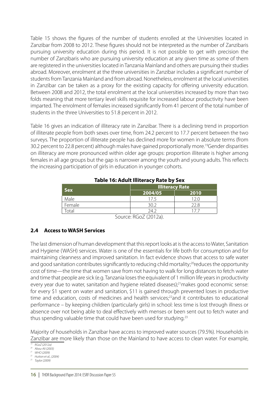Table 15 shows the figures of the number of students enrolled at the Universities located in Zanzibar from 2008 to 2012. These figures should not be interpreted as the number of Zanzibaris pursuing university education during this period. It is not possible to get with precision the number of Zanzibaris who are pursuing university education at any given time as some of them are registered in the universities located in Tanzania Mainland and others are pursuing their studies abroad. Moreover, enrolment at the three universities in Zanzibar includes a significant number of students from Tanzania Mainland and from abroad. Nonetheless, enrolment at the local universities in Zanzibar can be taken as a proxy for the existing capacity for offering university education. Between 2008 and 2012, the total enrolment at the local universities increased by more than two folds meaning that more tertiary level skills requisite for increased labour productivity have been imparted. The enrolment of females increased significantly from 41 percent of the total number of students in the three Universities to 51.8 percent in 2012.

Table 16 gives an indication of illiteracy rate in Zanzibar. There is a declining trend in proportion of illiterate people from both sexes over time, from 24.2 percent to 17.7 percent between the two surveys. The proportion of illiterate people has declined more for women in absolute terms (from 30.2 percent to 22.8 percent) although males have gained proportionally more.<sup>19</sup>Gender disparities on illiteracy are more pronounced within older age groups: proportion illiterate is higher among females in all age groups but the gap is narrower among the youth and young adults. This reflects the increasing participation of girls in education in younger cohorts.

|                | <b>Illiteracy Rate</b>                           |      |  |  |  |  |  |
|----------------|--------------------------------------------------|------|--|--|--|--|--|
| <b>Sex</b>     | 2004/05                                          | 2010 |  |  |  |  |  |
| Male           | 17.5                                             |      |  |  |  |  |  |
| Female         | ∶ ∩?                                             | 22.8 |  |  |  |  |  |
| otal           | 74 J                                             |      |  |  |  |  |  |
| $\overline{ }$ | $\cap$ $\cap$ $\cap$ $\cap$ $\cap$ $\cap$ $\cap$ |      |  |  |  |  |  |

#### **Table 16: Adult Illiteracy Rate by Sex**

Source: RGoZ (2012a).

#### **2.4 Access to WASH Services**

The last dimension of human development that this report looks at is the access to Water, Sanitation and Hygiene (WASH) services. Water is one of the essentials for life both for consumption and for maintaining cleanness and improved sanitation. In fact evidence shows that access to safe water and good sanitation contributes significantly to reducing child mortality;<sup>20</sup>reduces the opportunity cost of time—the time that women save from not having to walk for long distances to fetch water and time that people are sick (e.g. Tanzania loses the equivalent of 1 million life years in productivity every year due to water, sanitation and hygiene related diseases);<sup>21</sup> makes good economic sense: for every \$1 spent on water and sanitation, \$11 is gained through prevented loses in productive time and education, costs of medicines and health services;<sup>22</sup>and it contributes to educational performance – by keeping children (particularly girls) in school: less time is lost through illness or absence over not being able to deal effectively with menses or been sent out to fetch water and thus spending valuable time that could have been used for studying.<sup>23</sup>

Majority of households in Zanzibar have access to improved water sources (79.5%). Households in Zanzibar are more likely than those on the Mainland to have access to clean water. For example,

*<sup>19</sup> RGoZ (2012a)*

*<sup>21</sup> WHO (2009) <sup>22</sup> Hutton et al., (2004)*

*<sup>20</sup> Abou-Ali (2003)*

*<sup>23</sup> Taylor (2009)*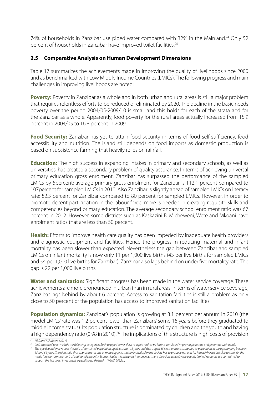74% of households in Zanzibar use piped water compared with 32% in the Mainland.<sup>24</sup> Only 52 percent of households in Zanzibar have improved toilet facilities.<sup>25</sup>

#### **2.5 Comparative Analysis on Human Development Dimensions**

Table 17 summarizes the achievements made in improving the quality of livelihoods since 2000 and as benchmarked with Low Middle Income Countries (LMICs). The following progress and main challenges in improving livelihoods are noted:

**Poverty:** Poverty in Zanzibar as a whole and in both urban and rural areas is still a major problem that requires relentless efforts to be reduced or eliminated by 2020. The decline in the basic needs poverty over the period 2004/05-2009/10 is small and this holds for each of the strata and for the Zanzibar as a whole. Apparently, food poverty for the rural areas actually increased from 15.9 percent in 2004/05 to 16.8 percent in 2009.

**Food Security:** Zanzibar has yet to attain food security in terms of food self-sufficiency, food accessibility and nutrition. The island still depends on food imports as domestic production is based on subsistence farming that heavily relies on rainfall.

**Education:** The high success in expanding intakes in primary and secondary schools, as well as universities, has created a secondary problem of quality assurance. In terms of achieving universal primary education gross enrolment, Zanzibar has surpassed the performance of the sampled LMICs by 5percent; average primary gross enrolment for Zanzibar is 112.1 percent compared to 107percent for sampled LMICs in 2010. Also Zanzibar is slightly ahead of sampled LMICs on literacy rate: 82.3 percent for Zanzibar compared to 80 percent for sampled LMICs. However, in order to promote decent participation in the labour force, more is needed in creating requisite skills and competencies beyond primary education. The average secondary school enrolment ratio was 67 percent in 2012. However, some districts such as Kaskazini B, Micheweni, Wete and Mkoani have enrolment ratios that are less than 50 percent.

**Health:** Efforts to improve health care quality has been impeded by inadequate health providers and diagnostic equipment and facilities. Hence the progress in reducing maternal and infant mortality has been slower than expected. Nevertheless the gap between Zanzibar and sampled LMICs on infant mortality is now only 11 per 1,000 live births (43 per live births for sampled LMICs and 54 per 1,000 live births for Zanzibar). Zanzibar also lags behind on under five mortality rate. The gap is 22 per 1,000 live births.

**Water and sanitation:** Significant progress has been made in the water service coverage. These achievements are more pronounced in urban than in rural areas. In terms of water service coverage, Zanzibar lags behind by about 6 percent. Access to sanitation facilities is still a problem as only close to 50 percent of the population has access to improved sanitation facilities.

**Population dynamics:** Zanzibar's population is growing at 3.1 percent per annum in 2010 (the model LMICs' rate was 1.2 percent lower than Zanzibar's' some 16 years before they graduated to middle income status). Its population structure is dominated by children and the youth and having a high dependency ratio (0.98 in 2010).<sup>26</sup> The implications of this structure is high costs of provision

*<sup>24</sup> NBS and ICF Macro (2011)*

The age dependency ratio is the ratio of combined population aged less than 15 years and those aged 65 years or more compared to population in the age ranging between *15 and 64 years. The high ratio that approximates one or more suggests that an individual in the society has to produce not only for himself/herself but also to cater for the needs (an economic burden) of additional person(s). Economically, this interprets into an investment diversion, whereby the already limited resources are committed to support the less direct investment expenditures, like health (RGoZ, 2012a).*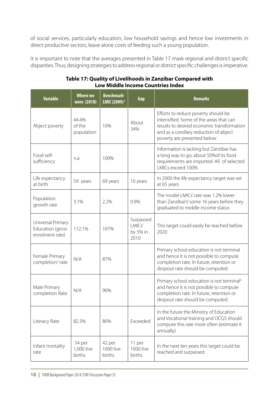of social services, particularly education, low household savings and hence low investments in direct productive sectors, leave alone costs of feeding such a young population.

It is important to note that the averages presented in Table 17 mask regional and district specific disparities. Thus, designing strategies to address regional or district specific challenges is imperative.

| <b>Variable</b>                                          | <b>Where we</b><br>were (2010) | <b>Benchmark-</b><br>LMIC (2009) <sup>2</sup> | Gap                                     | <b>Remarks</b>                                                                                                                                                                                        |
|----------------------------------------------------------|--------------------------------|-----------------------------------------------|-----------------------------------------|-------------------------------------------------------------------------------------------------------------------------------------------------------------------------------------------------------|
| Abject poverty                                           | 44.4%<br>of the<br>population  | 10%                                           | About<br>34%                            | Efforts to reduce poverty should be<br>intensified. Some of the areas that can<br>results to desired economic transformation<br>and as a corollary reduction of abject<br>poverty are presented below |
| Food self-<br>sufficiency                                | n.a                            | 100%                                          |                                         | Information is lacking but Zanzibar has<br>a long way to go; about 50% of its food<br>requirements are imported. All of selected<br>LMICs exceed 100%                                                 |
| Life expectancy<br>at birth                              | 59 years                       | 69 years                                      | 10 years                                | In 2000 the life expectancy target was set<br>at 65 years                                                                                                                                             |
| Population<br>growth rate                                | 3.1%                           | 2.2%                                          | 0.9%                                    | The model LMICs' rate was 1.2% lower<br>than Zanzibar's' some 16 years before they<br>graduated to middle income status                                                                               |
| Universal Primary<br>Education (gross<br>enrolment rate) | 112.1%                         | 107%                                          | Surpassed<br>LMICs'<br>by 5% in<br>2010 | This target could easily be reached before<br>2020                                                                                                                                                    |
| Female Primary<br>completion <sup>3</sup> rate           | N/A                            | 87%                                           |                                         | Primary school education is not terminal<br>and hence it is not possible to compute<br>completion rate. In future, retention or<br>dropout rate should be computed.                                   |
| Male Primary<br>completion Rate                          | N/A                            | 90%                                           |                                         | Primary school education is not terminal <sup>4</sup><br>and hence it is not possible to compute<br>completion rate. In future, retention or<br>dropout rate should be computed.                      |
| Literacy Rate                                            | 82.3%                          | 80%                                           | Exceeded                                | In the future the Ministry of Education<br>and Vocational training and OCGS should<br>compute this rate more often (estimate it<br>annually)                                                          |
| Infant mortality<br>rate                                 | 54 per<br>1,000 live<br>births | 42 per<br>1000 live<br>births                 | 11 per<br>1000 live<br>births           | In the next ten years this target could be<br>reached and surpassed                                                                                                                                   |

#### **Table 17: Quality of Livelihoods in Zanzibar Compared with Low Middle Income Countries Index**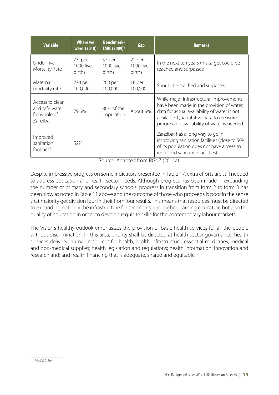| <b>Variable</b>                                               | Where we<br>were (2010)              | <b>Benchmark-</b><br>LMIC (2009) <sup>2</sup> | Gap                           | <b>Remarks</b>                                                                                                                                                                                                                  |
|---------------------------------------------------------------|--------------------------------------|-----------------------------------------------|-------------------------------|---------------------------------------------------------------------------------------------------------------------------------------------------------------------------------------------------------------------------------|
| Under-five<br>Mortality Rate                                  | 73 per<br>1000 live<br><b>births</b> | 57 per<br>1000 live<br>births                 | 22 per<br>1000 live<br>births | In the next ten years this target could be<br>reached and surpassed                                                                                                                                                             |
| Maternal<br>mortality rate                                    | 278 per<br>100,000                   | 260 per<br>100,000                            | 18 per<br>100,000             | Should be reached and surpassed                                                                                                                                                                                                 |
| Access to clean<br>and safe water<br>for whole of<br>Zanzibar | 79.6%                                | 86% of the<br>population                      | About 6%                      | While major infrastructural improvements<br>have been made in the provision of water,<br>data for actual availability of water is not<br>available. Quantitative data to measure<br>progress on availability of water is needed |
| Improved<br>sanitation<br>facilities <sup>5</sup>             | 52%                                  |                                               |                               | Zanzibar has a long way to go in<br>improving sanitation facilities (close to 50%<br>of its population does not have access to<br>improved sanitation facilities)                                                               |

Source: Adapted from RGoZ (2011a).

Despite impressive progress on some indicators presented in Table 17, extra efforts are still needed to address education and health sector needs. Although progress has been made in expanding the number of primary and secondary schools, progress in transition from form 2 to form 3 has been slow as noted in Table 11 above and the outcome of those who proceeds is poor in the sense that majority get division four in their from four results. This means that resources must be directed to expanding not only the infrastructure for secondary and higher learning education but also the quality of education in order to develop requisite skills for the contemporary labour markets.

The Vision's healthy outlook emphasizes the provision of basic health services for all the people without discrimination. In this area, priority shall be directed at health sector governance; health services delivery; human resources for health; health infrastructure; essential medicines, medical and non-medical supplies; health legislation and regulations; health information; innovation and research and; and health financing that is adequate, shared and equitable.<sup>27</sup>

*<sup>27</sup> RGoZ (2011a)*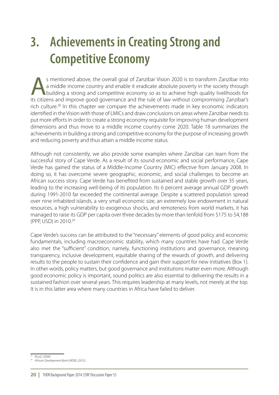# **3. Achievements in Creating Strong and Competitive Economy**

s mentioned above, the overall goal of Zanzibar Vision 2020 is to transform Zanzibar into<br>a middle income country and enable it eradicate absolute poverty in the society through<br>building a strong and competitive economy so a middle income country and enable it eradicate absolute poverty in the society through building a strong and competitive economy so as to achieve high quality livelihoods for its citizens and improve good governance and the rule of law without compromising Zanzibar's rich culture.<sup>28</sup> In this chapter we compare the achievements made in key economic indicators identified in the Vision with those of LMICs and draw conclusions on areas where Zanzibar needs to put more efforts in order to create a strong economy requisite for improving human development dimensions and thus move to a middle income country come 2020. Table 18 summarizes the achievements in building a strong and competitive economy for the purpose of increasing growth and reducing poverty and thus attain a middle income status.

Although not consistently, we also provide some examples where Zanzibar can learn from the successful story of Cape Verde. As a result of its sound economic and social performance, Cape Verde has gained the status of a Middle-Income Country (MIC) effective from January 2008. In doing so, it has overcome severe geographic, economic, and social challenges to become an African success story. Cape Verde has benefited from sustained and stable growth over 35 years, leading to the increasing well-being of its population. Its 6 percent average annual GDP growth during 1991-2010 far exceeded the continental average. Despite a scattered population spread over nine inhabited islands, a very small economic size, an extremely low endowment in natural resources, a high vulnerability to exogenous shocks, and remoteness from world markets, it has managed to raise its GDP per capita over three decades by more than tenfold from \$175 to \$4,188 (PPP, USD) in 2010.29

Cape Verde's success can be attributed to the "necessary" elements of good policy and economic fundamentals, including macroeconomic stability, which many countries have had. Cape Verde also met the "sufficient" condition, namely, functioning institutions and governance, meaning transparency, inclusive development, equitable sharing of the rewards of growth, and delivering results to the people to sustain their confidence and gain their support for new initiatives (Box 1). In other words, policy matters, but good governance and institutions matter even more. Although good economic policy is important, sound politics are also essential to delivering the results in a sustained fashion over several years. This requires leadership at many levels, not merely at the top. It is in this latter area where many countries in Africa have failed to deliver.

*<sup>28</sup> RGoZ, (2000)*

*<sup>29</sup> African Development Bank [AfDB], (2012).*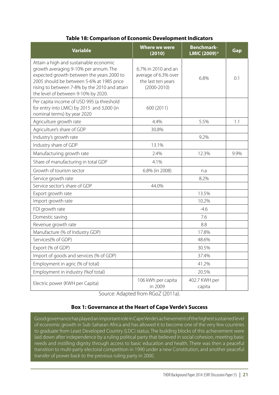#### **Table 18: Comparison of Economic Development Indicators**

| <b>Variable</b>                                                                                                                                                                                                                                                   | <b>Where we were</b><br>(2010)                                                       | <b>Benchmark-</b><br>LMIC (2009) <sup>6</sup> | Gap  |
|-------------------------------------------------------------------------------------------------------------------------------------------------------------------------------------------------------------------------------------------------------------------|--------------------------------------------------------------------------------------|-----------------------------------------------|------|
| Attain a high and sustainable economic<br>growth averaging 9-10% per annum. The<br>expected growth between the years 2000 to<br>2005 should be between 5-6% at 1985 price<br>rising to between 7-8% by the 2010 and attain<br>the level of between 9-10% by 2020. | 6.7% in 2010 and an<br>average of 6.3% over<br>the last ten years<br>$(2000 - 2010)$ | 6.8%                                          | 0.1  |
| Per capita income of USD 995 (a threshold<br>for entry into LMIC) by 2015 and 3,000 (in<br>nominal terms) by year 2020                                                                                                                                            | 600 (2011)                                                                           |                                               |      |
| Agriculture growth rate                                                                                                                                                                                                                                           | 4.4%                                                                                 | 5.5%                                          | 1.1  |
| Agriculture's share of GDP                                                                                                                                                                                                                                        | 30.8%                                                                                |                                               |      |
| Industry's growth rate                                                                                                                                                                                                                                            |                                                                                      | 9.2%                                          |      |
| Industry share of GDP                                                                                                                                                                                                                                             | 13.1%                                                                                |                                               |      |
| Manufacturing growth rate                                                                                                                                                                                                                                         | 2.4%                                                                                 | 12.3%                                         | 9.9% |
| Share of manufacturing in total GDP                                                                                                                                                                                                                               | 4.1%                                                                                 |                                               |      |
| Growth of tourism sector                                                                                                                                                                                                                                          | 6.8% (in 2008)                                                                       | n.a                                           |      |
| Service growth rate                                                                                                                                                                                                                                               |                                                                                      | 8.2%                                          |      |
| Service sector's share of GDP                                                                                                                                                                                                                                     | 44.0%                                                                                |                                               |      |
| Export growth rate                                                                                                                                                                                                                                                |                                                                                      | 13.5%                                         |      |
| Import growth rate                                                                                                                                                                                                                                                |                                                                                      | 10.2%                                         |      |
| FDI growth rate                                                                                                                                                                                                                                                   |                                                                                      | $-4.6$                                        |      |
| Domestic saving                                                                                                                                                                                                                                                   |                                                                                      | 7.6                                           |      |
| Revenue growth rate                                                                                                                                                                                                                                               |                                                                                      | 8.8                                           |      |
| Manufacture (% of Industry GDP)                                                                                                                                                                                                                                   |                                                                                      | 17.8%                                         |      |
| Services(% of GDP)                                                                                                                                                                                                                                                |                                                                                      | 48.6%                                         |      |
| Export (% of GDP)                                                                                                                                                                                                                                                 |                                                                                      | 30.5%                                         |      |
| Import of goods and services (% of GDP)                                                                                                                                                                                                                           |                                                                                      | 37.4%                                         |      |
| Employment in agric (% of total)                                                                                                                                                                                                                                  |                                                                                      | 41.2%                                         |      |
| Employment in industry (%of total)                                                                                                                                                                                                                                |                                                                                      | 20.5%                                         |      |
| Electric power (KWH per Capita)                                                                                                                                                                                                                                   | 106 kWh per capita<br>in 2009                                                        | 402.7 KWH per<br>capita                       |      |

Source: Adapted from RGoZ (2011a).

#### **Box 1: Governance at the Heart of Cape Verde's Success**

Good governance has played an important role in Cape Verde's achievement of the highest sustained level of economic growth in Sub-Saharan Africa and has allowed it to become one of the very few countries to graduate from Least Developed Country (LDC) status. The building blocks of this achievement were laid down after independence by a ruling political party that believed in social cohesion, meeting basic needs and instilling dignity through access to basic education and health. There was then a peaceful transition to multi-party electoral competition in 1990 under a new Constitution, and another peaceful transfer of power back to the previous ruling party in 2000.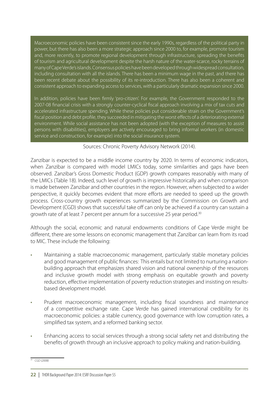Macroeconomic policies have been consistent since the early 1990s, regardless of the political party in power, but there has also been a more strategic approach since 2000 to, for example, promote tourism and, more recently, to promote regional development through infrastructure, spreading the benefits of tourism and agricultural development despite the harsh nature of the water-scarce, rocky terrains of many of Cape Verde's islands. Consensus policies have been developed through widespread consultation, including consultation with all the islands. There has been a minimum wage in the past, and there has been recent debate about the possibility of its re-introduction. There has also been a coherent and consistent approach to expanding access to services, with a particularly dramatic expansion since 2000.

In addition, policies have been firmly 'pro-citizen'. For example, the Government responded to the 2007-08 financial crisis with a strongly counter-cyclical fiscal approach involving a mix of tax cuts and accelerated infrastructure spending. While these policies put considerable strain on the Government's fiscal position and debt profile, they succeeded in mitigating the worst effects of a deteriorating external environment. While social assistance has not been adopted (with the exception of measures to assist persons with disabilities), employers are actively encouraged to bring informal workers (in domestic service and construction, for example) into the social insurance system.

#### Sources: Chronic Poverty Advisory Network (2014).

Zanzibar is expected to be a middle income country by 2020. In terms of economic indicators, when Zanzibar is compared with model LMICs today, some similarities and gaps have been observed. Zanzibar's Gross Domestic Product (GDP) growth compares reasonably with many of the LMICs (Table 18). Indeed, such level of growth is impressive historically and when comparison is made between Zanzibar and other countries in the region. However, when subjected to a wider perspective, it quickly becomes evident that more efforts are needed to speed up the growth process. Cross-country growth experiences summarized by the Commission on Growth and Development (CGD) shows that successful take off can only be achieved if a country can sustain a growth rate of at least 7 percent per annum for a successive 25 year period.<sup>30</sup>

Although the social, economic and natural endowments conditions of Cape Verde might be different, there are some lessons on economic management that Zanzibar can learn from its road to MIC. These include the following:

- Maintaining a stable macroeconomic management, particularly stable monetary policies and good management of public finances: This entails but not limited to nurturing a nationbuilding approach that emphasizes shared vision and national ownership of the resources and inclusive growth model with strong emphasis on equitable growth and poverty reduction, effective implementation of poverty reduction strategies and insisting on resultsbased development model.
- · Prudent macroeconomic management, including fiscal soundness and maintenance of a competitive exchange rate. Cape Verde has gained international credibility for its macroeconomic policies: a stable currency, good governance with low corruption rates, a simplified tax system, and a reformed banking sector.
- Enhancing access to social services through a strong social safety net and distributing the benefits of growth through an inclusive approach to policy making and nation-building.

*<sup>30</sup> CGD (2008)*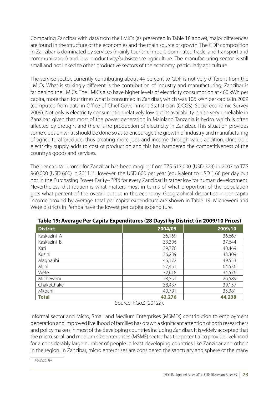Comparing Zanzibar with data from the LMICs (as presented in Table 18 above), major differences are found in the structure of the economies and the main source of growth. The GDP composition in Zanzibar is dominated by services (mainly tourism, import-dominated trade, and transport and communication) and low productivity/subsistence agriculture. The manufacturing sector is still small and not linked to other productive sectors of the economy, particularly agriculture.

The service sector, currently contributing about 44 percent to GDP is not very different from the LMICs. What is strikingly different is the contribution of industry and manufacturing; Zanzibar is far behind the LMICs. The LMICs also have higher levels of electricity consumption at 460 kWh per capita, more than four times what is consumed in Zanzibar, which was 106 kWh per capita in 2009 (computed from data in Office of Chief Government Statistician (OCGS), Socio-economic Survey 2009). Not only is electricity consumption relatively low but its availability is also very unreliable in Zanzibar, given that most of the power generation in Mainland Tanzania is hydro, which is often affected by drought and there is no production of electricity in Zanzibar. This situation provides some clues on what should be done so as to encourage the growth of industry and manufacturing of agricultural produce, thus creating more jobs and income through value addition. Unreliable electricity supply adds to cost of production and this has hampered the competitiveness of the country's goods and services.

The per capita income for Zanzibar has been ranging from TZS 517,000 (USD 323) in 2007 to TZS 960,000 (USD 600) in 2011.<sup>31</sup> However, the USD 600 per year (equivalent to USD 1.66 per day but not in the Purchasing Power Parity--PPP) for every Zanzibari is rather low for human development. Nevertheless, distribution is what matters most in terms of what proportion of the population gets what percent of the overall output in the economy. Geographical disparities in per capita income proxied by average total per capita expenditure are shown in Table 19. Micheweni and Wete districts in Pemba have the lowest per capita expenditure.

| <b>District</b> | 2004/05 | 2009/10 |
|-----------------|---------|---------|
| Kaskazini A     | 36,169  | 36,667  |
| Kaskazini B     | 33,306  | 37,644  |
| Kati            | 39,770  | 40,469  |
| Kusini          | 36,239  | 43,309  |
| Magharibi       | 46,172  | 49,553  |
| Mjini           | 57,451  | 64,536  |
| Wete            | 32,618  | 34,576  |
| Micheweni       | 28,551  | 26,589  |
| ChakeChake      | 38,437  | 39,157  |
| Mkoani          | 40,791  | 35,381  |
| <b>Total</b>    | 42,276  | 44,238  |

**Table 19: Average Per Capita Expenditures (28 Days) by District (in 2009/10 Prices)**

Source: RGoZ (2012a).

Informal sector and Micro, Small and Medium Enterprises (MSMEs) contribution to employment generation and improved livelihood of families has drawn a significant attention of both researchers and policy makers in most of the developing countries including Zanzibar. It is widely accepted that the micro, small and medium size enterprises (MSME) sector has the potential to provide livelihood for a considerably large number of people in least developing countries like Zanzibar and others in the region. In Zanzibar, micro enterprises are considered the sanctuary and sphere of the many

*<sup>31</sup> RGoZ (2011b)*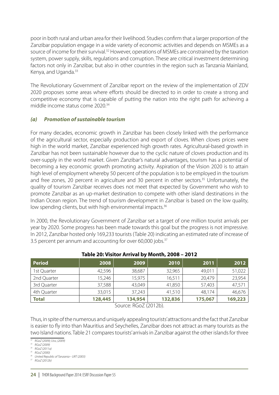poor in both rural and urban area for their livelihood. Studies confirm that a larger proportion of the Zanzibar population engage in a wide variety of economic activities and depends on MSMEs as a source of income for their survival.<sup>32</sup> However, operations of MSMEs are constrained by the taxation system, power supply, skills, regulations and corruption. These are critical investment determining factors not only in Zanzibar, but also in other countries in the region such as Tanzania Mainland, Kenya, and Uganda.<sup>33</sup>

The Revolutionary Government of Zanzibar report on the review of the implementation of ZDV 2020 proposes some areas where efforts should be directed to in order to create a strong and competitive economy that is capable of putting the nation into the right path for achieving a middle income status come 2020<sup>34</sup>

#### *(a) Promotion of sustainable tourism*

For many decades, economic growth in Zanzibar has been closely linked with the performance of the agricultural sector, especially production and export of cloves. When cloves prices were high in the world market, Zanzibar experienced high growth rates. Agricultural-based growth in Zanzibar has not been sustainable however due to the cyclic nature of cloves production and its over-supply in the world market. Given Zanzibar's natural advantages, tourism has a potential of becoming a key economic growth promoting activity. Aspiration of the Vision 2020 is to attain high level of employment whereby 50 percent of the population is to be employed in the tourism and free zones, 20 percent in agriculture and 30 percent in other sectors.<sup>35</sup> Unfortunately, the quality of tourism Zanzibar receives does not meet that expected by Government who wish to promote Zanzibar as an up-market destination to compete with other island destinations in the Indian Ocean region. The trend of tourism development in Zanzibar is based on the low quality, low spending clients, but with high environmental impacts.<sup>36</sup>

In 2000, the Revolutionary Government of Zanzibar set a target of one million tourist arrivals per year by 2020. Some progress has been made towards this goal but the progress is not impressive. In 2012, Zanzibar hosted only 169,233 tourists (Table 20) indicating an estimated rate of increase of 3.5 percent per annum and accounting for over 60,000 jobs.<sup>37</sup>

| <b>Period</b> | 2008    | 2009    | 2010    | 2011    | 2012    |
|---------------|---------|---------|---------|---------|---------|
| 1st Quarter   | 42,596  | 38,687  | 32,965  | 49,011  | 51,022  |
| 2nd Quarter   | 15,246  | 15,975  | 16,511  | 20,479  | 23,954  |
| 3rd Quarter   | 37,588  | 43,049  | 41,850  | 57,403  | 47,571  |
| 4th Quarter   | 33,015  | 37,243  | 41,510  | 48,174  | 46,676  |
| <b>Total</b>  | 128,445 | 134,954 | 132,836 | 175,067 | 169,223 |

#### **Table 20: Visitor Arrival by Month, 2008 – 2012**

Source: RGoZ (2012b).

Thus, in spite of the numerous and uniquely appealing tourists' attractions and the fact that Zanzibar is easier to fly into than Mauritius and Seychelles, Zanzibar does not attract as many tourists as the two Island nations. Table 21 compares tourists' arrivals in Zanzibar against the other islands for three

*<sup>36</sup> United Republic of Tanzania-- URT (2003) 37 RGoZ (2012b)*

*<sup>32</sup> RGoZ (2009); Ussi, (2009)*

*<sup>33</sup> RGoZ (2009)*

*<sup>34</sup> RGoZ (2011a)*

*<sup>35</sup> RGoZ (2000)*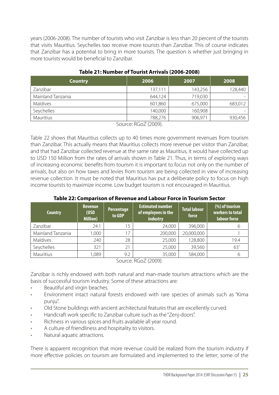years (2006-2008). The number of tourists who visit Zanzibar is less than 20 percent of the tourists that visits Mauritius. Seychelles too receive more tourists than Zanzibar. This of course indicates that Zanzibar has a potential to bring in more tourists. The question is whether just bringing in more tourists would be beneficial to Zanzibar.

| <b>Country</b>    | 2006    | 2007    | 2008    |
|-------------------|---------|---------|---------|
| Zanzibar          | 137,111 | 143,256 | 128,440 |
| Mainland Tanzania | 644,124 | 719,030 |         |
| Maldives          | 601,860 | 675,000 | 683,012 |
| Seychelles        | 140,000 | 160,908 |         |
| Mauritius         | 788,276 | 906,971 | 930,456 |

#### **Table 21: Number of Tourist Arrivals (2006-2008)**

Source: RGoZ (2009).

Table 22 shows that Mauritius collects up to 40 times more government revenues from tourism than Zanzibar. This actually means that Mauritius collects more revenue per visitor than Zanzibar, and that had Zanzibar collected revenue at the same rate as Mauritius, it would have collected up to USD 150 Million from the rates of arrivals shown in Table 21. Thus, in terms of exploring ways of increasing economic benefits from tourism it is important to focus not only on the number of arrivals, but also on how taxes and levies from tourism are being collected in view of increasing revenue collection. It must be noted that Mauritius has put a deliberate policy to focus on high income tourists to maximize income. Low budget tourism is not encouraged in Mauritius.

| <b>Revenue</b><br>(USD<br><b>Million</b> ) | <b>Percentage</b><br>to GDP | <b>Estimated number</b><br>of employees in the<br>industry | <b>Total labour</b><br>force | (%) of tourism<br>workers to total<br>labour force |
|--------------------------------------------|-----------------------------|------------------------------------------------------------|------------------------------|----------------------------------------------------|
| 24.1                                       | 15                          | 24,000                                                     | 396,000                      | h                                                  |
| 1,000                                      | 17                          | 200,000                                                    | 20,000,000                   |                                                    |
| 240                                        | 28                          | 25,000                                                     | 128,800                      | 19.4                                               |
| 321                                        | 21                          | 25,000                                                     | 39,560                       | 63 <sup>7</sup>                                    |
| 1,089                                      | 9.2                         | 35,000                                                     | 584,000                      | 6                                                  |
|                                            |                             |                                                            | $C = DC = (2000)$            |                                                    |

#### **Table 22: Comparison of Revenue and Labour Force in Tourism Sector**

Source: RGoZ (2009).

Zanzibar is richly endowed with both natural and man-made tourism attractions which are the basis of successful tourism industry. Some of these attractions are:

- · Beautiful and virgin beaches.
- Environment intact natural forests endowed with rare species of animals such as "Kima punju".
- · Old Stone buildings with ancient architectural features that are excellently curved.
- · Handcraft work specific to Zanzibar culture such as the "Zenj-doors".
- · Richness in various spices and fruits available all year round.
- A culture of friendliness and hospitality to visitors.
- Natural aquatic attractions.

There is apparent recognition that more revenue could be realized from the tourism industry if more effective policies on tourism are formulated and implemented to the letter; some of the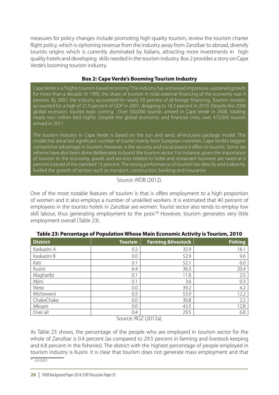measures for policy changes include promoting high quality tourism, review the tourism charter flight policy, which is siphoning revenue from the industry away from Zanzibar to abroad, diversify tourists origins which is currently dominated by Italians, attracting more investments in high quality hotels and developing skills needed in the tourism industry. Box 2 provides a story on Cape Verde's booming tourism industry.

#### **Box 2: Cape Verde's Booming Tourism Industry**

Cape Verde is a "highly tourism-based economy." The industry has witnessed impressive, sustained growth for more than a decade. In 1995, the share of tourism in total external financing of the economy was 4 percent. By 2007, the industry accounted for nearly 50 percent of all foreign financing. Tourism receipts accounted for a high of 21.9 percent of GDP in 2007, dropping to 18.3 percent in 2010. Despite the 2008 global recession, tourists kept coming. Over 300,000 tourists arrived in Cape Verde in 2008, totaling nearly two million bed nights. Despite the global economic and financial crisis, over 475,000 tourists arrived in 2011.

The tourism industry in Cape Verde is based on the sun and sand, all-inclusive package model. This model has attracted significant number of tourist mainly from European countries. Cape Verde's biggest competitive advantage in tourism, however, is the security and social peace it offers to tourists. Some tax reforms have also been done deliberately to boost the tourism sector. For instance, given the importance of tourism to the economy, goods and services related to hotel and restaurant business are taxed at 6 percent instead of the standard 15 percent. The strong performance of tourism has directly and indirectly, fuelled the growth of sectors such as transport, construction, banking and insurance.

#### Source: AfDB (2012).

One of the most notable features of tourism is that is offers employment to a high proportion of women and it also employs a number of unskilled workers. It is estimated that 40 percent of employees in the tourists hotels in Zanzibar are women. Tourist sector also tends to employ low skill labour, thus generating employment to the poor.<sup>38</sup> However, tourism generates very little employment overall (Table 23).

| <b>District</b> | <b>Tourism</b> | <b>Farming &amp;livestock</b> | <b>Fishing</b> |
|-----------------|----------------|-------------------------------|----------------|
| Kaskazini A     | 0.2            | 35.9                          | 18.1           |
| Kaskazini B     | 0.0            | 52.9                          | 9.6            |
| Kati            | 0.1            | 52.1                          | 6.0            |
| Kusini          | 6.4            | 36.3                          | 20.4           |
| Magharibi       | 0.1            | 11.8                          | 2.5            |
| Mjini           | 0.1            | 3.6                           | 0.3            |
| Wete            | 0.0            | 39.2                          | 4.2            |
| Micheweni       | 0.5            | 53.9                          | 12.2           |
| ChakeChake      | 0.0            | 30.8                          | 2.5            |
| Mkoani          | 0.0            | 43.5                          | 12.8           |
| Over all        | 0.4            | 29.5                          | 6.8            |

#### **Table 23: Percentage of Population Whose Main Economic Activity is Tourism, 2010**

Source: RGZ (2012a).

As Table 23 shows, the percentage of the people who are employed in tourism sector for the whole of Zanzibar is 0.4 percent (as compared to 29.5 percent in farming and livestock keeping and 6.8 percent in the fisheries). The district with the highest percentage of people employed in tourism industry is Kusini. It is clear that tourism does not generate mass employment and that *<sup>38</sup> ILO (2001)*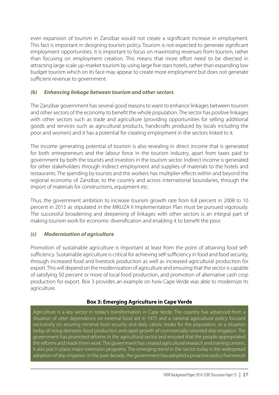even expansion of tourism in Zanzibar would not create a significant increase in employment. This fact is important in designing tourism policy. Tourism is not expected to generate significant employment opportunities. It is important to focus on maximizing revenues from tourism, rather than focusing on employment creation. This means that more effort need to be directed in attracting large scale up-market tourism by using large five stars hotels, rather than expanding low budget tourism which on its face may appear to create more employment but does not generate sufficient revenue to government.

#### *(b) Enhancing linkage between tourism and other sectors*

The Zanzibar government has several good reasons to want to enhance linkages between tourism and other sectors of the economy to benefit the whole population. The sector has positive linkages with other sectors such as trade and agriculture (providing opportunities for selling additional goods and services such as agricultural products, handicrafts produced by locals including the poor and women) and it has a potential for creating employment in the sectors linked to it.

The income generating potential of tourism is also revealing in direct income that is generated for both entrepreneurs and the labour force in the tourism industry, apart from taxes paid to government by both the tourists and investors in the tourism sector. Indirect income is generated for other stakeholders through indirect employment and supplies of materials to the hotels and restaurants. The spending by tourists and the workers has multiplier effects within and beyond the regional economy of Zanzibar, to the country and across international boundaries, through the import of materials for constructions, equipment etc.

Thus, the government ambition to increase tourism growth rate from 6.8 percent in 2008 to 10 percent in 2015 as stipulated in the MKUZA II Implementation Plan must be pursued vigorously. The successful broadening and deepening of linkages with other sectors is an integral part of making tourism work for economic diversification and enabling it to benefit the poor.

#### *(c) Modernization of agriculture*

Promotion of sustainable agriculture is important at least from the point of attaining food selfsufficiency. Sustainable agriculture is critical for achieving self-sufficiency in food and food security, through increased food and livestock production as well as increased agricultural production for export. This will depend on the modernization of agriculture and ensuring that the sector is capable of satisfying 50 percent or more of local food production, and promotion of alternative cash crop production for export. Box 3 provides an example on how Cape Verde was able to modernize its agriculture.

#### **Box 3: Emerging Agriculture in Cape Verde**

Agriculture is a key sector in today's transformation in Cape Verde. The country has advanced from a situation of utter dependence on external food aid in 1975 and a national agricultural policy focused exclusively on assuring minimal food security and daily caloric intake for the population, to a situation today of rising domestic food production and rapid growth of commercially-oriented drip irrigation. The government has promoted reforms in the agricultural sector and ensured that the people appropriated the reforms and made them work. The government has created agricultural research and training centers. It also put in place major extension programs. The emerging trend in the sector today is the widespread adoption of drip irrigation. In the past decade, the government has adopted a proactive policy framework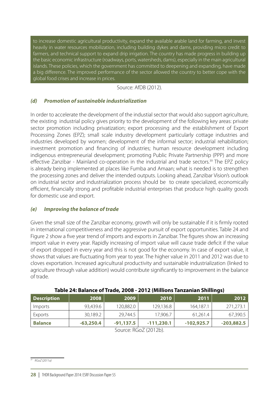to increase domestic agricultural productivity, expand the available arable land for farming, and invest heavily in water resources mobilization, including building dykes and dams, providing micro credit to farmers, and technical support to expand drip irrigation. The country has made progress in building up the basic economic infrastructure (roadways, ports, watersheds, dams), especially in the main agricultural islands. These policies, which the government has committed to deepening and expanding, have made a big difference. The improved performance of the sector allowed the country to better cope with the global food crises and increase in prices.

#### Source: AfDB (2012).

#### *(d) Promotion of sustainable industrialization*

In order to accelerate the development of the industial sector that would also support agriculture, the existing industrial policy gives priority to the development of the following key areas: private sector promotion including privatization; export processing and the establishment of Export Processing Zones (EPZ); small scale industry development particularly cottage industries and industries developed by women; development of the informal sector; industrial rehabilitation; investment promotion and financing of industries; human resource development including indigenous entrepreneurial development; promoting Public Private Partnership (PPP) and more effective Zanzibar - Mainland co-operation in the industrial and trade sectors.<sup>39</sup> The EPZ policy is already being implemented at places like Fumba and Amaan; what is needed is to strengthen the processing zones and deliver the intended outputs. Looking ahead, Zanzibar Vision's outlook on industrial sector and industrialization process should be to create specialized, economically efficient, financially strong and profitable industrial enterprises that produce high quality goods for domestic use and export.

#### *(e) Improving the balance of trade*

Given the small size of the Zanzibar economy, growth will only be sustainable if it is firmly rooted in international competitiveness and the aggressive pursuit of export opportunities. Table 24 and Figure 2 show a five year trend of imports and exports in Zanzibar. The figures show an increasing import value in every year. Rapidly increasing of import value will cause trade deficit if the value of export dropped in every year and this is not good for the economy. In case of export value, it shows that values are fluctuating from year to year. The higher value in 2011 and 2012 was due to cloves exportation. Increased agricultural productivity and sustainable industrialization (linked to agriculture through value addition) would contribute significantly to improvement in the balance of trade.

| <b>Description</b>                                                                | 2008        | 2009        | 2010         | 2011         | 2012         |
|-----------------------------------------------------------------------------------|-------------|-------------|--------------|--------------|--------------|
| Imports                                                                           | 93,439.6    | 120,882.0   | 129,136.8    | 164,187.1    | 271,273.1    |
| Exports                                                                           | 30,189.2    | 29,744.5    | 17,906.7     | 61,261.4     | 67,390.5     |
| <b>Balance</b>                                                                    | $-63,250.4$ | $-91,137.5$ | $-111,230.1$ | $-102,925.7$ | $-203,882.5$ |
| $C_{\alpha_1,\beta_2,\alpha_3}$ , $D_{\alpha_1,\beta_2}$ , $D_{\alpha_1,\beta_2}$ |             |             |              |              |              |

Source: RGoZ (2012b).

*<sup>39</sup> RGoZ (2011a)*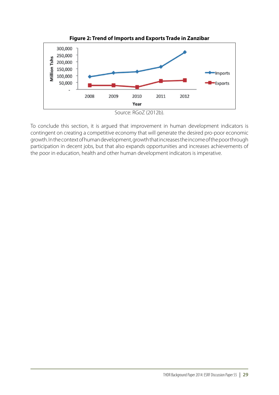

To conclude this section, it is argued that improvement in human development indicators is contingent on creating a competitive economy that will generate the desired pro-poor economic growth. In the context of human development, growth that increases the income of the poor through participation in decent jobs, but that also expands opportunities and increases achievements of the poor in education, health and other human development indicators is imperative.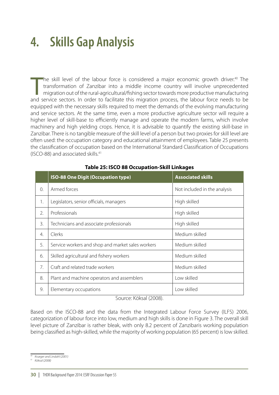## **4. Skills Gap Analysis**

The skill level of the labour force is considered a major economic growth driver.<sup>40</sup> The transformation of Zanzibar into a middle income country will involve unprecedented migration out of the rural-agricultural/fishing s The skill level of the labour force is considered a major economic growth driver.<sup>40</sup> The transformation of Zanzibar into a middle income country will involve unprecedented migration out of the rural-agricultural/fishing sector towards more productive manufacturing equipped with the necessary skills required to meet the demands of the evolving manufacturing and service sectors. At the same time, even a more productive agriculture sector will require a higher level of skill-base to efficiently manage and operate the modern farms, which involve machinery and high yielding crops. Hence, it is advisable to quantify the existing skill-base in Zanzibar. There is no tangible measure of the skill level of a person but two proxies for skill level are often used: the occupation category and educational attainment of employees. Table 25 presents the classification of occupation based on the International Standard Classification of Occupations (ISCO-88) and associated skills.<sup>41</sup>

|                  | <b>ISO-88 One Digit (Occupation type)</b>         | <b>Associated skills</b>     |
|------------------|---------------------------------------------------|------------------------------|
| $\Omega$ .       | Armed forces                                      | Not included in the analysis |
| 1.               | Legislators, senior officials, managers           | High skilled                 |
| 2.               | Professionals                                     | High skilled                 |
| 3.               | Technicians and associate professionals           | High skilled                 |
| $\overline{4}$ . | Clerks                                            | Medium skilled               |
| 5.               | Service workers and shop and market sales workers | Medium skilled               |
| 6.               | Skilled agricultural and fishery workers          | Medium skilled               |
| 7.               | Craft and related trade workers                   | Medium skilled               |
| 8.               | Plant and machine operators and assemblers        | Low skilled                  |
| 9.               | Elementary occupations                            | Low skilled                  |

#### **Table 25: ISCO 88 Occupation-Skill Linkages**

Source: Köksal (2008).

Based on the ISCO-88 and the data from the Integrated Labour Force Survey (ILFS) 2006, categorization of labour force into low, medium and high skills is done in Figure 3. The overall skill level picture of Zanzibar is rather bleak, with only 8.2 percent of Zanzibaris working population being classified as high-skilled, while the majority of working population (65 percent) is low skilled.

*<sup>40</sup> Krueger and Lindahl (2001)*

*<sup>41</sup> Köksal (2008)*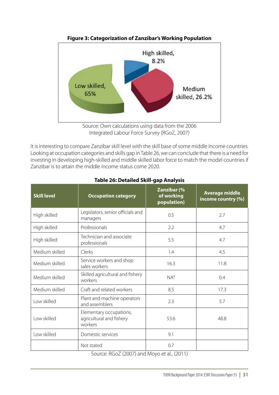

**Figure 3: Categorization of Zanzibar's Working Population**

It is interesting to compare Zanzibar skill level with the skill base of some middle income countries. Looking at occupation categories and skills gap in Table 26, we can conclude that there is a need for investing in developing high-skilled and middle skilled labor force to match the model countries if Zanzibar is to attain the middle income status come 2020.

| <b>Skill level</b><br><b>Occupation category</b> |                                                                | Zanzibar (%<br>of working<br>population) | <b>Average middle</b><br>income country (%) |
|--------------------------------------------------|----------------------------------------------------------------|------------------------------------------|---------------------------------------------|
| High skilled                                     | Legislators, senior officials and<br>managers                  | 0.5                                      | 2.7                                         |
| High skilled                                     | Professionals                                                  | 2.2                                      | 4.7                                         |
| High skilled                                     | Technician and associate<br>professionals                      | 5.5                                      | 4.7                                         |
| Medium skilled                                   | Clerks                                                         | 1.4                                      | 4.5                                         |
| Medium skilled                                   | Service workers and shop<br>sales workers                      | 16.3                                     | 11.8                                        |
| Medium skilled                                   | Skilled agricultural and fishery<br>workers                    | NA <sup>8</sup>                          | 0.4                                         |
| Medium skilled                                   | Craft and related workers                                      | 8.5                                      | 17.3                                        |
| Low skilled                                      | Plant and machine operators<br>and assemblers                  | 2.3                                      | 5.7                                         |
| Low skilled                                      | Elementary occupations,<br>agricultural and fishery<br>workers | 53.6                                     | 48.8                                        |
| Low skilled                                      | Domestic services                                              | 9.1                                      |                                             |
|                                                  | Not stated                                                     | 0.7                                      |                                             |

#### **Table 26: Detailed Skill-gap Analysis**

Source: RGoZ (2007) and Moyo et al., (2011)

Source: Own calculations using data from the 2006 Integrated Labour Force Survey (RGoZ, 2007)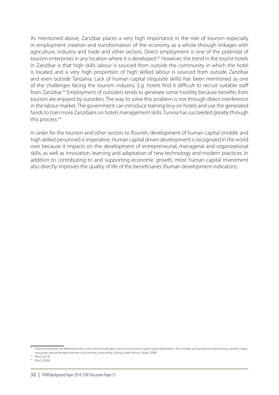As mentioned above, Zanzibar places a very high importance in the role of tourism especially in employment creation and transformation of the economy as a whole through linkages with agriculture, industry and trade and other sectors. Direct employment is one of the potential of tourism enterprises in any location where it is developed.<sup>42</sup> However, the trend in the tourist hotels in Zanzibar is that high skills labour is sourced from outside the community in which the hotel is located and a very high proportion of high skilled labour is sourced from outside Zanzibar and even outside Tanzania. Lack of human capital (requisite skills) has been mentioned as one of the challenges facing the tourism industry. E.g. hotels find it difficult to recruit suitable staff from Zanzibar.<sup>43</sup> Employment of outsiders tends to generate some hostility because benefits from tourism are enjoyed by outsiders. The way to solve this problem is not through direct interference in the labour market. The government can introduce training levy on hotels and use the generated funds to train more Zanzibaris on hotels management skills. Tunisia has succeeded greatly through this process.<sup>44</sup>

In order for the tourism and other sectors to flourish, development of human capital (middle and high skilled personnel) is imperative. Human capital driven development is recognized in the world over because it impacts on the development of entrepreneurial, managerial and organizational skills, as well as innovation, learning and adaptation of new technology and modern practices. In addition to contributing to and supporting economic growth, most human capital investment also directly improves the quality of life of the beneficiaries (human development indicators).

*<sup>43</sup> RGoZ (2013)*

*<sup>44</sup> RGoZ (2009)*

*<sup>42</sup> Tourism enterprises are defined business units which provide direct services to tourist in a given tourist destination. This includes such services as hotel services, souvenir shops, tour guide, special transport services (such as boat, horse riding, cycling, cable cart etc. (Ajala, 2008).*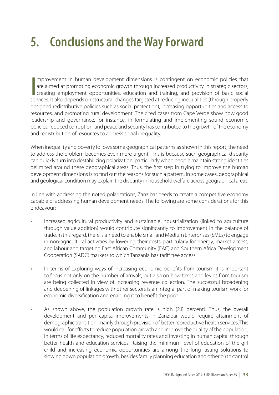# **5. Conclusions and the Way Forward**

∏<br>|<br>⊂⊖r mprovement in human development dimensions is contingent on economic policies that are aimed at promoting economic growth through increased productivity in strategic sectors, creating employment opportunities, education and training, and provision of basic social services. It also depends on structural changes targeted at reducing inequalities (through properly designed redistributive policies such as social protection), increasing opportunities and access to resources, and promoting rural development. The cited cases from Cape Verde show how good leadership and governance, for instance, in formulating and implementing sound economic policies, reduced corruption, and peace and security has contributed to the growth of the economy and redistribution of resources to address social inequality.

When inequality and poverty follows some geographical patterns as shown in this report, the need to address the problem becomes even more urgent. This is because such geographical disparity can quickly turn into destabilizing polarization, particularly when people maintain strong identities delimited around these geographical areas. Thus, the first step in trying to improve the human development dimensions is to find out the reasons for such a pattern. In some cases, geographical and geological condition may explain the disparity in household welfare across geographical areas.

In line with addressing the noted polarizations, Zanzibar needs to create a competitive economy capable of addressing human development needs. The following are some considerations for this endeavour:

- · Increased agricultural productivity and sustainable industrialization (linked to agriculture through value addition) would contribute significantly to improvement in the balance of trade. In this regard, there is a need to enable Small and Medium Enterprises (SMEs) to engage in non-agricultural activities by lowering their costs, particularly for energy, market access, and labour and targeting East African Community (EAC) and Southern Africa Development Cooperation (SADC) markets to which Tanzania has tariff free access.
- · In terms of exploring ways of increasing economic benefits from tourism it is important to focus not only on the number of arrivals, but also on how taxes and levies from tourism are being collected in view of increasing revenue collection. The successful broadening and deepening of linkages with other sectors is an integral part of making tourism work for economic diversification and enabling it to benefit the poor.
- · As shown above, the population growth rate is high (2.8 percent). Thus, the overall development and per capita improvements in Zanzibar would require attainment of demographic transition, mainly through provision of better reproductive health services. This would call for efforts to reduce population growth and improve the quality of the population, in terms of life expectancy, reduced mortality rates and investing in human capital through better health and education services. Raising the minimum level of education of the girl child and increasing economic opportunities are among the long lasting solutions to slowing down population growth, besides family planning education and other birth control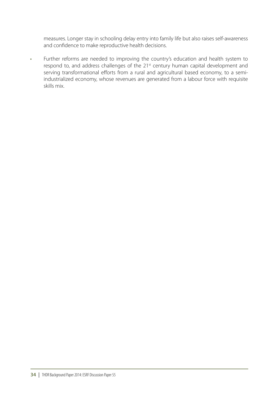measures. Longer stay in schooling delay entry into family life but also raises self-awareness and confidence to make reproductive health decisions.

· Further reforms are needed to improving the country's education and health system to respond to, and address challenges of the 21st century human capital development and serving transformational efforts from a rural and agricultural based economy, to a semiindustrialized economy, whose revenues are generated from a labour force with requisite skills mix.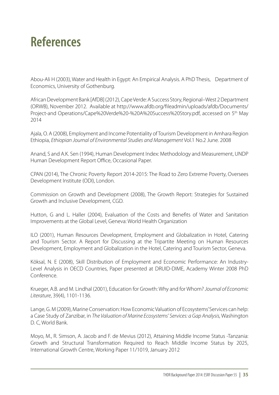### **References**

Abou-Ali H (2003), Water and Health in Egypt: An Empirical Analysis. A PhD Thesis, Department of Economics, University of Gothenburg.

African Development Bank [AfDB] (2012), Cape Verde: A Success Story, Regional–West 2 Department (ORWB), November 2012. Available at http://www.afdb.org/fileadmin/uploads/afdb/Documents/ Project-and Operations/Cape%20Verde%20-%20A%20Success%20Story.pdf, accessed on 5th May 2014

Ajala, O. A (2008), Employment and Income Potentiality of Tourism Development in Amhara Region Ethiopia, *Ethiopian Journal of Environmental Studies and Management* Vol.1 No.2 June. 2008

Anand, S and A.K. Sen (1994), Human Development Index: Methodology and Measurement, UNDP Human Development Report Office, Occasional Paper.

CPAN (2014), The Chronic Poverty Report 2014-2015: The Road to Zero Extreme Poverty, Oversees Development Institute (ODI), London.

Commission on Growth and Development (2008), The Growth Report: Strategies for Sustained Growth and Inclusive Development, CGD.

Hutton, G and L. Haller (2004), Evaluation of the Costs and Benefits of Water and Sanitation Improvements at the Global Level, Geneva: World Health Organization

ILO (2001), Human Resources Development, Employment and Globalization in Hotel, Catering and Tourism Sector. A Report for Discussing at the Tripartite Meeting on Human Resources Development, Employment and Globalization in the Hotel, Catering and Tourism Sector, Geneva.

Köksal, N. E (2008), Skill Distribution of Employment and Economic Performance: An Industry-Level Analysis in OECD Countries, Paper presented at DRUID-DIME, Academy Winter 2008 PhD Conference.

Krueger, A.B. and M. Lindhal (2001), Education for Growth: Why and for Whom? *Journal of Economic Literature*, 39(4), 1101-1136.

Lange, G. M (2009), Marine Conservation: How Economic Valuation of Ecosystems' Services can help: a Case Study of Zanzibar, in *The Valuation of Marine Ecosystems' Services: a Gap Analysis,* Washington D. C, World Bank.

Moyo, M., R. Simson, A. Jacob and F. de Mevius (2012), Attaining Middle Income Status -Tanzania: Growth and Structural Transformation Required to Reach Middle Income Status by 2025, International Growth Centre, Working Paper 11/1019, January 2012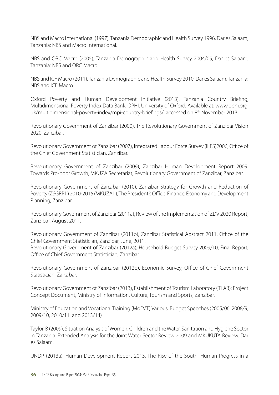NBS and Macro International (1997), Tanzania Demographic and Health Survey 1996, Dar es Salaam, Tanzania: NBS and Macro International.

NBS and ORC Macro (2005), Tanzania Demographic and Health Survey 2004/05, Dar es Salaam, Tanzania: NBS and ORC Macro.

NBS and ICF Macro (2011), Tanzania Demographic and Health Survey 2010, Dar es Salaam, Tanzania: NBS and ICF Macro.

Oxford Poverty and Human Development Initiative (2013), Tanzania Country Briefing, Multidimensional Poverty Index Data Bank, OPHI, University of Oxford, Available at: www.ophi.org. uk/multidimensional-poverty-index/mpi-country-briefings/, accessed on 8<sup>th</sup> November 2013.

Revolutionary Government of Zanzibar (2000), The Revolutionary Government of Zanzibar Vision 2020, Zanzibar.

Revolutionary Government of Zanzibar (2007), Integrated Labour Force Survey (ILFS)2006, Office of the Chief Government Statistician, Zanzibar.

Revolutionary Government of Zanzibar (2009), Zanzibar Human Development Report 2009: Towards Pro-poor Growth, MKUZA Secretariat, Revolutionary Government of Zanzibar, Zanzibar.

Revolutionary Government of Zanzibar (2010), Zanzibar Strategy for Growth and Reduction of Poverty (ZSGRP II) 2010-2015 (MKUZA II), The President's Office, Finance, Economy and Development Planning, Zanzibar.

Revolutionary Government of Zanzibar (2011a), Review of the Implementation of ZDV 2020 Report, Zanzibar, August 2011.

Revolutionary Government of Zanzibar (2011b), Zanzibar Statistical Abstract 2011, Office of the Chief Government Statistician, Zanzibar, June, 2011.

Revolutionary Government of Zanzibar (2012a), Household Budget Survey 2009/10, Final Report, Office of Chief Government Statistician, Zanzibar.

Revolutionary Government of Zanzibar (2012b), Economic Survey, Office of Chief Government Statistician, Zanzibar.

Revolutionary Government of Zanzibar (2013), Establishment of Tourism Laboratory (TLAB): Project Concept Document, Ministry of Information, Culture, Tourism and Sports, Zanzibar.

Ministry of Education and Vocational Training (MoEVT);Various Budget Speeches (2005/06, 2008/9, 2009/10, 2010/11 and 2013/14)

Taylor, B (2009), Situation Analysis of Women, Children and the Water, Sanitation and Hygiene Sector in Tanzania: Extended Analysis for the Joint Water Sector Review 2009 and MKUKUTA Review. Dar es Salaam.

UNDP (2013a), Human Development Report 2013, The Rise of the South: Human Progress in a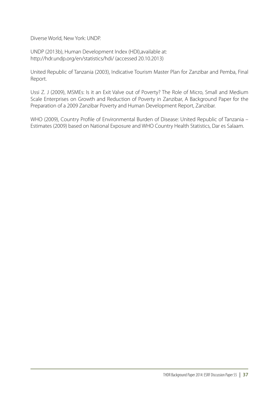Diverse World, New York: UNDP.

UNDP (2013b), Human Development Index (HDI),available at: http://hdr.undp.org/en/statistics/hdi/ (accessed 20.10.2013)

United Republic of Tanzania (2003), Indicative Tourism Master Plan for Zanzibar and Pemba, Final Report.

Ussi Z. J (2009), MSMEs: Is it an Exit Valve out of Poverty? The Role of Micro, Small and Medium Scale Enterprises on Growth and Reduction of Poverty in Zanzibar, A Background Paper for the Preparation of a 2009 Zanzibar Poverty and Human Development Report, Zanzibar.

WHO (2009), Country Profile of Environmental Burden of Disease: United Republic of Tanzania – Estimates (2009) based on National Exposure and WHO Country Health Statistics, Dar es Salaam.